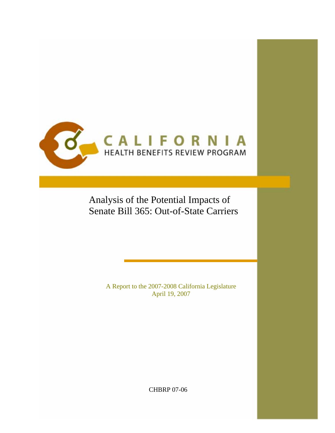

Analysis of the Potential Impacts of Senate Bill 365: Out-of-State Carriers

> A Report to the 2007-2008 California Legislature April 19, 2007

> > CHBRP 07-06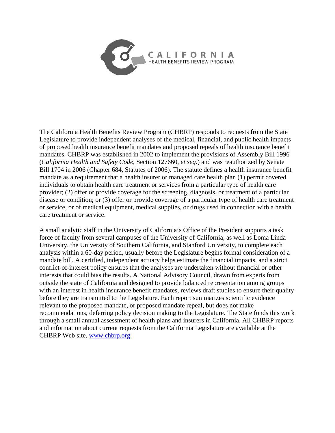

The California Health Benefits Review Program (CHBRP) responds to requests from the State Legislature to provide independent analyses of the medical, financial, and public health impacts of proposed health insurance benefit mandates and proposed repeals of health insurance benefit mandates. CHBRP was established in 2002 to implement the provisions of Assembly Bill 1996 (*California Health and Safety Code*, Section 127660, *et seq*.) and was reauthorized by Senate Bill 1704 in 2006 (Chapter 684, Statutes of 2006). The statute defines a health insurance benefit mandate as a requirement that a health insurer or managed care health plan (1) permit covered individuals to obtain health care treatment or services from a particular type of health care provider; (2) offer or provide coverage for the screening, diagnosis, or treatment of a particular disease or condition; or (3) offer or provide coverage of a particular type of health care treatment or service, or of medical equipment, medical supplies, or drugs used in connection with a health care treatment or service.

A small analytic staff in the University of California's Office of the President supports a task force of faculty from several campuses of the University of California, as well as Loma Linda University, the University of Southern California, and Stanford University, to complete each analysis within a 60-day period, usually before the Legislature begins formal consideration of a mandate bill. A certified, independent actuary helps estimate the financial impacts, and a strict conflict-of-interest policy ensures that the analyses are undertaken without financial or other interests that could bias the results. A National Advisory Council, drawn from experts from outside the state of California and designed to provide balanced representation among groups with an interest in health insurance benefit mandates, reviews draft studies to ensure their quality before they are transmitted to the Legislature. Each report summarizes scientific evidence relevant to the proposed mandate, or proposed mandate repeal, but does not make recommendations, deferring policy decision making to the Legislature. The State funds this work through a small annual assessment of health plans and insurers in California. All CHBRP reports and information about current requests from the California Legislature are available at the CHBRP Web site, www.chbrp.org.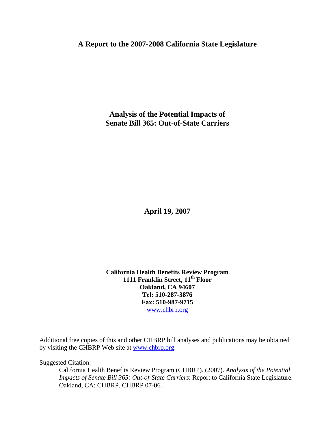# **A Report to the 2007-2008 California State Legislature**

**Analysis of the Potential Impacts of Senate Bill 365: Out-of-State Carriers** 

**April 19, 2007** 

**California Health Benefits Review Program 1111 Franklin Street, 11th Floor Oakland, CA 94607 Tel: 510-287-3876 Fax: 510-987-9715**  www.chbrp.org

Additional free copies of this and other CHBRP bill analyses and publications may be obtained by visiting the CHBRP Web site at www.chbrp.org.

Suggested Citation:

California Health Benefits Review Program (CHBRP). (2007). *Analysis of the Potential Impacts of Senate Bill 365: Out-of-State Carriers*: Report to California State Legislature. Oakland, CA: CHBRP. CHBRP 07-06.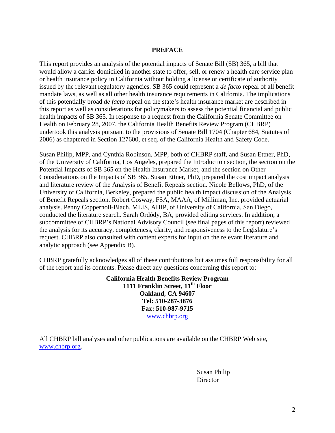## **PREFACE**

This report provides an analysis of the potential impacts of Senate Bill (SB) 365, a bill that would allow a carrier domiciled in another state to offer, sell, or renew a health care service plan or health insurance policy in California without holding a license or certificate of authority issued by the relevant regulatory agencies. SB 365 could represent a *de facto* repeal of all benefit mandate laws, as well as all other health insurance requirements in California. The implications of this potentially broad *de facto* repeal on the state's health insurance market are described in this report as well as considerations for policymakers to assess the potential financial and public health impacts of SB 365. In response to a request from the California Senate Committee on Health on February 28, 2007, the California Health Benefits Review Program (CHBRP) undertook this analysis pursuant to the provisions of Senate Bill 1704 (Chapter 684, Statutes of 2006) as chaptered in Section 127600, et seq. of the California Health and Safety Code.

Susan Philip, MPP, and Cynthia Robinson, MPP, both of CHBRP staff, and Susan Ettner, PhD, of the University of California, Los Angeles, prepared the Introduction section, the section on the Potential Impacts of SB 365 on the Health Insurance Market, and the section on Other Considerations on the Impacts of SB 365. Susan Ettner, PhD, prepared the cost impact analysis and literature review of the Analysis of Benefit Repeals section. Nicole Bellows, PhD, of the University of California, Berkeley, prepared the public health impact discussion of the Analysis of Benefit Repeals section. Robert Cosway, FSA, MAAA, of Milliman, Inc. provided actuarial analysis. Penny Coppernoll-Blach, MLIS, AHIP, of University of California, San Diego, conducted the literature search. Sarah Ordódy, BA, provided editing services. In addition, a subcommittee of CHBRP's National Advisory Council (see final pages of this report) reviewed the analysis for its accuracy, completeness, clarity, and responsiveness to the Legislature's request. CHBRP also consulted with content experts for input on the relevant literature and analytic approach (see Appendix B).

CHBRP gratefully acknowledges all of these contributions but assumes full responsibility for all of the report and its contents. Please direct any questions concerning this report to:

> **California Health Benefits Review Program 1111 Franklin Street, 11th Floor Oakland, CA 94607 Tel: 510-287-3876 Fax: 510-987-9715**  www.chbrp.org

All CHBRP bill analyses and other publications are available on the CHBRP Web site, www.chbrp.org.

> Susan Philip **Director**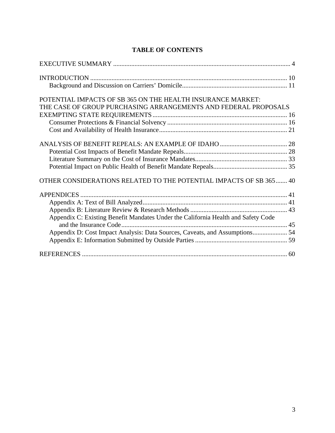| POTENTIAL IMPACTS OF SB 365 ON THE HEALTH INSURANCE MARKET:                       |  |
|-----------------------------------------------------------------------------------|--|
| THE CASE OF GROUP PURCHASING ARRANGEMENTS AND FEDERAL PROPOSALS                   |  |
|                                                                                   |  |
|                                                                                   |  |
|                                                                                   |  |
|                                                                                   |  |
|                                                                                   |  |
|                                                                                   |  |
|                                                                                   |  |
| OTHER CONSIDERATIONS RELATED TO THE POTENTIAL IMPACTS OF SB 365  40               |  |
|                                                                                   |  |
|                                                                                   |  |
|                                                                                   |  |
| Appendix C: Existing Benefit Mandates Under the California Health and Safety Code |  |
|                                                                                   |  |
| Appendix D: Cost Impact Analysis: Data Sources, Caveats, and Assumptions 54       |  |
|                                                                                   |  |
|                                                                                   |  |

# **TABLE OF CONTENTS**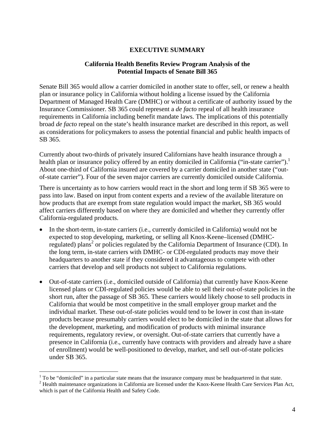## **EXECUTIVE SUMMARY**

## **California Health Benefits Review Program Analysis of the Potential Impacts of Senate Bill 365**

Senate Bill 365 would allow a carrier domiciled in another state to offer, sell, or renew a health plan or insurance policy in California without holding a license issued by the California Department of Managed Health Care (DMHC) or without a certificate of authority issued by the Insurance Commissioner. SB 365 could represent a *de facto* repeal of all health insurance requirements in California including benefit mandate laws. The implications of this potentially broad *de facto* repeal on the state's health insurance market are described in this report, as well as considerations for policymakers to assess the potential financial and public health impacts of SB 365.

Currently about two-thirds of privately insured Californians have health insurance through a health plan or insurance policy offered by an entity domiciled in California ("in-state carrier").<sup>1</sup> About one-third of California insured are covered by a carrier domiciled in another state ("outof-state carrier"). Four of the seven major carriers are currently domiciled outside California.

There is uncertainty as to how carriers would react in the short and long term if SB 365 were to pass into law. Based on input from content experts and a review of the available literature on how products that are exempt from state regulation would impact the market, SB 365 would affect carriers differently based on where they are domiciled and whether they currently offer California-regulated products.

- In the short-term, in-state carriers (i.e., currently domiciled in California) would not be expected to stop developing, marketing, or selling all Knox-Keene–licensed (DMHCregulated) plans<sup>2</sup> or policies regulated by the California Department of Insurance (CDI). In the long term, in-state carriers with DMHC- or CDI-regulated products may move their headquarters to another state if they considered it advantageous to compete with other carriers that develop and sell products not subject to California regulations.
- Out-of-state carriers (i.e., domiciled outside of California) that currently have Knox-Keene licensed plans or CDI-regulated policies would be able to sell their out-of-state policies in the short run, after the passage of SB 365. These carriers would likely choose to sell products in California that would be most competitive in the small employer group market and the individual market. These out-of-state policies would tend to be lower in cost than in-state products because presumably carriers would elect to be domiciled in the state that allows for the development, marketing, and modification of products with minimal insurance requirements, regulatory review, or oversight. Out-of-state carriers that currently have a presence in California (i.e., currently have contracts with providers and already have a share of enrollment) would be well-positioned to develop, market, and sell out-of-state policies under SB 365.

<sup>&</sup>lt;sup>1</sup> To be "domiciled" in a particular state means that the insurance company must be headquartered in that state.<br><sup>2</sup> Hoalth maintenance organizations in Colifornia are licensed under the Knox Keene Hoalth Care Services P

<sup>&</sup>lt;sup>2</sup> Health maintenance organizations in California are licensed under the Knox-Keene Health Care Services Plan Act, which is part of the California Health and Safety Code.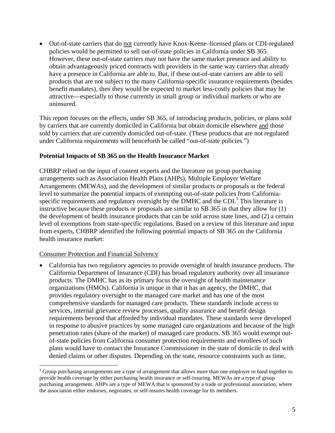• Out-of-state carriers that do not currently have Knox-Keene–licensed plans or CDI-regulated policies would be permitted to sell out-of-state policies in California under SB 365. However, these out-of-state carriers may not have the same market presence and ability to obtain advantageously priced contracts with providers in the same way carriers that already have a presence in California are able to. But, if these out-of-state carriers are able to sell products that are not subject to the many California-specific insurance requirements (besides benefit mandates), then they would be expected to market less-costly policies that may be attractive—especially to those currently in small group or individual markets or who are uninsured.

This report focuses on the effects, under SB 365, of introducing products, policies, or plans sold by carriers that are currently domiciled in California but obtain domicile elsewhere and those sold by carriers that are currently domiciled out-of-state. (These products that are not regulated under California requirements will henceforth be called "out-of-state policies.")

## **Potential Impacts of SB 365 on the Health Insurance Market**

CHBRP relied on the input of content experts and the literature on group purchasing arrangements such as Association Health Plans (AHPs), Multiple Employer Welfare Arrangements (MEWAs), and the development of similar products or proposals at the federal level to summarize the potential impacts of exempting out-of-state policies from Californiaspecific requirements and regulatory oversight by the DMHC and the CDI. $^3$  This literature is instructive because these products or proposals are similar to SB 365 in that they allow for (1) the development of health insurance products that can be sold across state lines, and (2) a certain level of exemptions from state-specific regulations. Based on a review of this literature and input from experts, CHBRP identified the following potential impacts of SB 365 on the California health insurance market:

## Consumer Protection and Financial Solvency

 $\overline{a}$ 

• California has two regulatory agencies to provide oversight of health insurance products. The California Department of Insurance (CDI) has broad regulatory authority over all insurance products. The DMHC has as its primary focus the oversight of health maintenance organizations (HMOs). California is unique in that it has an agency, the DMHC, that provides regulatory oversight to the managed care market and has one of the most comprehensive standards for managed care products. These standards include access to services, internal grievance review processes, quality assurance and benefit design requirements beyond that afforded by individual mandates. These standards were developed in response to abusive practices by some managed care organizations and because of the high penetration rates (share of the market) of managed care products. SB 365 would exempt outof-state policies from California consumer protection requirements and enrollees of such plans would have to contact the Insurance Commissioner in the state of domicile to deal with denied claims or other disputes. Depending on the state, resource constraints such as time,

 $3$  Group purchasing arrangements are a type of arrangement that allows more than one employer to band together to provide health coverage by either purchasing health insurance or self-insuring. MEWAs are a type of group purchasing arrangement. AHPs are a type of MEWA that is sponsored by a trade or professional association, where the association either endorses, negotiates, or self-insures health coverage for its members.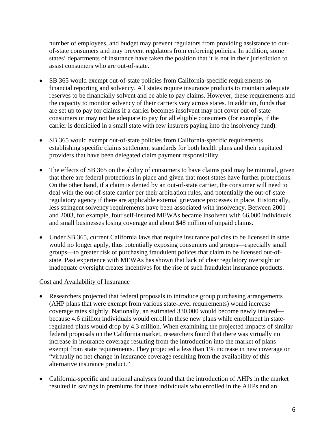number of employees, and budget may prevent regulators from providing assistance to outof-state consumers and may prevent regulators from enforcing policies. In addition, some states' departments of insurance have taken the position that it is not in their jurisdiction to assist consumers who are out-of-state.

- SB 365 would exempt out-of-state policies from California-specific requirements on financial reporting and solvency. All states require insurance products to maintain adequate reserves to be financially solvent and be able to pay claims. However, these requirements and the capacity to monitor solvency of their carriers vary across states. In addition, funds that are set up to pay for claims if a carrier becomes insolvent may not cover out-of-state consumers or may not be adequate to pay for all eligible consumers (for example, if the carrier is domiciled in a small state with few insurers paying into the insolvency fund).
- SB 365 would exempt out-of-state policies from California-specific requirements establishing specific claims settlement standards for both health plans and their capitated providers that have been delegated claim payment responsibility.
- The effects of SB 365 on the ability of consumers to have claims paid may be minimal, given that there are federal protections in place and given that most states have further protections. On the other hand, if a claim is denied by an out-of-state carrier, the consumer will need to deal with the out-of-state carrier per their arbitration rules, and potentially the out-of-state regulatory agency if there are applicable external grievance processes in place. Historically, less stringent solvency requirements have been associated with insolvency. Between 2001 and 2003, for example, four self-insured MEWAs became insolvent with 66,000 individuals and small businesses losing coverage and about \$48 million of unpaid claims.
- Under SB 365, current California laws that require insurance policies to be licensed in state would no longer apply, thus potentially exposing consumers and groups—especially small groups—to greater risk of purchasing fraudulent polices that claim to be licensed out-ofstate. Past experience with MEWAs has shown that lack of clear regulatory oversight or inadequate oversight creates incentives for the rise of such fraudulent insurance products.

## Cost and Availability of Insurance

- Researchers projected that federal proposals to introduce group purchasing arrangements (AHP plans that were exempt from various state-level requirements) would increase coverage rates slightly. Nationally, an estimated 330,000 would become newly insured because 4.6 million individuals would enroll in these new plans while enrollment in stateregulated plans would drop by 4.3 million. When examining the projected impacts of similar federal proposals on the California market, researchers found that there was virtually no increase in insurance coverage resulting from the introduction into the market of plans exempt from state requirements. They projected a less than 1% increase in new coverage or "virtually no net change in insurance coverage resulting from the availability of this alternative insurance product."
- California-specific and national analyses found that the introduction of AHPs in the market resulted in savings in premiums for those individuals who enrolled in the AHPs and an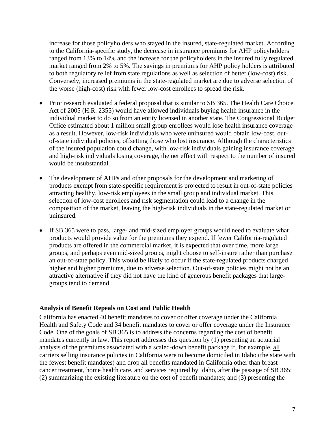increase for those policyholders who stayed in the insured, state-regulated market. According to the California-specific study, the decrease in insurance premiums for AHP policyholders ranged from 13% to 14% and the increase for the policyholders in the insured fully regulated market ranged from 2% to 5%. The savings in premiums for AHP policy holders is attributed to both regulatory relief from state regulations as well as selection of better (low-cost) risk. Conversely, increased premiums in the state-regulated market are due to adverse selection of the worse (high-cost) risk with fewer low-cost enrollees to spread the risk.

- Prior research evaluated a federal proposal that is similar to SB 365. The Health Care Choice Act of 2005 (H.R. 2355) would have allowed individuals buying health insurance in the individual market to do so from an entity licensed in another state. The Congressional Budget Office estimated about 1 million small group enrollees would lose health insurance coverage as a result. However, low-risk individuals who were uninsured would obtain low-cost, outof-state individual policies, offsetting those who lost insurance. Although the characteristics of the insured population could change, with low-risk individuals gaining insurance coverage and high-risk individuals losing coverage, the net effect with respect to the number of insured would be insubstantial.
- The development of AHPs and other proposals for the development and marketing of products exempt from state-specific requirement is projected to result in out-of-state policies attracting healthy, low-risk employees in the small group and individual market. This selection of low-cost enrollees and risk segmentation could lead to a change in the composition of the market, leaving the high-risk individuals in the state-regulated market or uninsured.
- If SB 365 were to pass, large- and mid-sized employer groups would need to evaluate what products would provide value for the premiums they expend. If fewer California-regulated products are offered in the commercial market, it is expected that over time, more large groups, and perhaps even mid-sized groups, might choose to self-insure rather than purchase an out-of-state policy. This would be likely to occur if the state-regulated products charged higher and higher premiums, due to adverse selection. Out-of-state policies might not be an attractive alternative if they did not have the kind of generous benefit packages that largegroups tend to demand.

## **Analysis of Benefit Repeals on Cost and Public Health**

California has enacted 40 benefit mandates to cover or offer coverage under the California Health and Safety Code and 34 benefit mandates to cover or offer coverage under the Insurance Code. One of the goals of SB 365 is to address the concerns regarding the cost of benefit mandates currently in law. This report addresses this question by (1) presenting an actuarial analysis of the premiums associated with a scaled-down benefit package if, for example, all carriers selling insurance policies in California were to become domiciled in Idaho (the state with the fewest benefit mandates) and drop all benefits mandated in California other than breast cancer treatment, home health care, and services required by Idaho, after the passage of SB 365; (2) summarizing the existing literature on the cost of benefit mandates; and (3) presenting the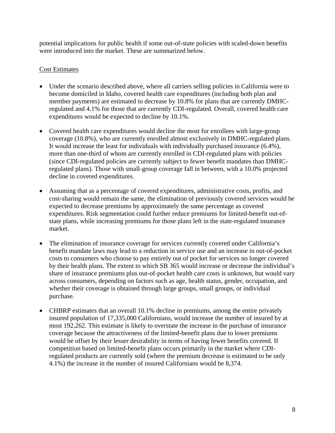potential implications for public health if some out-of-state policies with scaled-down benefits were introduced into the market. These are summarized below.

# Cost Estimates

- Under the scenario described above, where all carriers selling policies in California were to become domiciled in Idaho, covered health care expenditures (including both plan and member payments) are estimated to decrease by 10.8% for plans that are currently DMHCregulated and 4.1% for those that are currently CDI-regulated. Overall, covered health care expenditures would be expected to decline by 10.1%.
- Covered health care expenditures would decline the most for enrollees with large-group coverage (10.8%), who are currently enrolled almost exclusively in DMHC-regulated plans. It would increase the least for individuals with individually purchased insurance (6.4%), more than one-third of whom are currently enrolled in CDI-regulated plans with policies (since CDI-regulated policies are currently subject to fewer benefit mandates than DMHCregulated plans). Those with small-group coverage fall in between, with a 10.0% projected decline in covered expenditures.
- Assuming that as a percentage of covered expenditures, administrative costs, profits, and cost-sharing would remain the same, the elimination of previously covered services would be expected to decrease premiums by approximately the same percentage as covered expenditures. Risk segmentation could further reduce premiums for limited-benefit out-ofstate plans, while increasing premiums for those plans left in the state-regulated insurance market.
- The elimination of insurance coverage for services currently covered under California's benefit mandate laws may lead to a reduction in service use and an increase in out-of-pocket costs to consumers who choose to pay entirely out of pocket for services no longer covered by their health plans. The extent to which SB 365 would increase or decrease the individual's share of insurance premiums plus out-of-pocket health care costs is unknown, but would vary across consumers, depending on factors such as age, health status, gender, occupation, and whether their coverage is obtained through large groups, small groups, or individual purchase.
- CHBRP estimates that an overall 10.1% decline in premiums, among the entire privately insured population of 17,335,000 Californians, would increase the number of insured by at most 192,262. This estimate is likely to overstate the increase in the purchase of insurance coverage because the attractiveness of the limited-benefit plans due to lower premiums would be offset by their lesser desirability in terms of having fewer benefits covered. If competition based on limited-benefit plans occurs primarily in the market where CDIregulated products are currently sold (where the premium decrease is estimated to be only 4.1%) the increase in the number of insured Californians would be 8,374.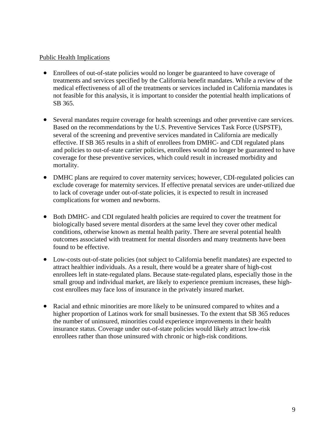## Public Health Implications

- Enrollees of out-of-state policies would no longer be guaranteed to have coverage of treatments and services specified by the California benefit mandates. While a review of the medical effectiveness of all of the treatments or services included in California mandates is not feasible for this analysis, it is important to consider the potential health implications of SB 365.
- Several mandates require coverage for health screenings and other preventive care services. Based on the recommendations by the U.S. Preventive Services Task Force (USPSTF), several of the screening and preventive services mandated in California are medically effective. If SB 365 results in a shift of enrollees from DMHC- and CDI regulated plans and policies to out-of-state carrier policies, enrollees would no longer be guaranteed to have coverage for these preventive services, which could result in increased morbidity and mortality.
- DMHC plans are required to cover maternity services; however, CDI-regulated policies can exclude coverage for maternity services. If effective prenatal services are under-utilized due to lack of coverage under out-of-state policies, it is expected to result in increased complications for women and newborns.
- Both DMHC- and CDI regulated health policies are required to cover the treatment for biologically based severe mental disorders at the same level they cover other medical conditions, otherwise known as mental health parity. There are several potential health outcomes associated with treatment for mental disorders and many treatments have been found to be effective.
- Low-costs out-of-state policies (not subject to California benefit mandates) are expected to attract healthier individuals. As a result, there would be a greater share of high-cost enrollees left in state-regulated plans. Because state-regulated plans, especially those in the small group and individual market, are likely to experience premium increases, these highcost enrollees may face loss of insurance in the privately insured market.
- Racial and ethnic minorities are more likely to be uninsured compared to whites and a higher proportion of Latinos work for small businesses. To the extent that SB 365 reduces the number of uninsured, minorities could experience improvements in their health insurance status. Coverage under out-of-state policies would likely attract low-risk enrollees rather than those uninsured with chronic or high-risk conditions.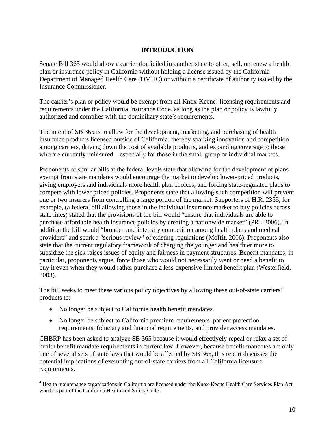# **INTRODUCTION**

Senate Bill 365 would allow a carrier domiciled in another state to offer, sell, or renew a health plan or insurance policy in California without holding a license issued by the California Department of Managed Health Care (DMHC) or without a certificate of authority issued by the Insurance Commissioner.

The carrier's plan or policy would be exempt from all Knox-Keene<sup>4</sup> licensing requirements and requirements under the California Insurance Code, as long as the plan or policy is lawfully authorized and complies with the domiciliary state's requirements.

The intent of SB 365 is to allow for the development, marketing, and purchasing of health insurance products licensed outside of California, thereby sparking innovation and competition among carriers, driving down the cost of available products, and expanding coverage to those who are currently uninsured—especially for those in the small group or individual markets.

Proponents of similar bills at the federal levels state that allowing for the development of plans exempt from state mandates would encourage the market to develop lower-priced products, giving employers and individuals more health plan choices, and forcing state-regulated plans to compete with lower priced policies. Proponents state that allowing such competition will prevent one or two insurers from controlling a large portion of the market. Supporters of H.R. 2355, for example, (a federal bill allowing those in the individual insurance market to buy policies across state lines) stated that the provisions of the bill would "ensure that individuals are able to purchase affordable health insurance policies by creating a nationwide market" (PRI, 2006). In addition the bill would "broaden and intensify competition among health plans and medical providers" and spark a "serious review" of existing regulations (Moffit, 2006). Proponents also state that the current regulatory framework of charging the younger and healthier more to subsidize the sick raises issues of equity and fairness in payment structures. Benefit mandates, in particular, proponents argue, force those who would not necessarily want or need a benefit to buy it even when they would rather purchase a less-expensive limited benefit plan (Westerfield, 2003).

The bill seeks to meet these various policy objectives by allowing these out-of-state carriers' products to:

• No longer be subject to California health benefit mandates.

1

• No longer be subject to California premium requirements, patient protection requirements, fiduciary and financial requirements, and provider access mandates.

CHBRP has been asked to analyze SB 365 because it would effectively repeal or relax a set of health benefit mandate requirements in current law. However, because benefit mandates are only one of several sets of state laws that would be affected by SB 365, this report discusses the potential implications of exempting out-of-state carriers from all California licensure requirements.

<sup>&</sup>lt;sup>4</sup> Health maintenance organizations in California are licensed under the Knox-Keene Health Care Services Plan Act, which is part of the California Health and Safety Code.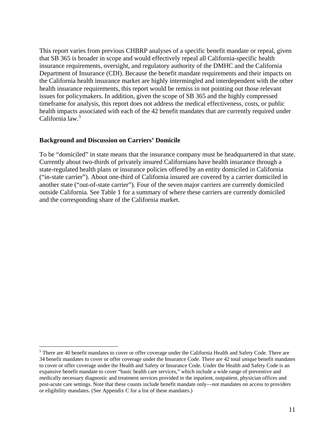This report varies from previous CHBRP analyses of a specific benefit mandate or repeal, given that SB 365 is broader in scope and would effectively repeal all California-specific health insurance requirements, oversight, and regulatory authority of the DMHC and the California Department of Insurance (CDI). Because the benefit mandate requirements and their impacts on the California health insurance market are highly intermingled and interdependent with the other health insurance requirements, this report would be remiss in not pointing out those relevant issues for policymakers. In addition, given the scope of SB 365 and the highly compressed timeframe for analysis, this report does not address the medical effectiveness, costs, or public health impacts associated with each of the 42 benefit mandates that are currently required under California law.<sup>5</sup>

## **Background and Discussion on Carriers' Domicile**

 $\overline{a}$ 

To be "domiciled" in state means that the insurance company must be headquartered in that state. Currently about two-thirds of privately insured Californians have health insurance through a state-regulated health plans or insurance policies offered by an entity domiciled in California ("in-state carrier"). About one-third of California insured are covered by a carrier domiciled in another state ("out-of-state carrier"). Four of the seven major carriers are currently domiciled outside California. See Table 1 for a summary of where these carriers are currently domiciled and the corresponding share of the California market.

 $5$  There are 40 benefit mandates to cover or offer coverage under the California Health and Safety Code. There are 34 benefit mandates to cover or offer coverage under the Insurance Code. There are 42 total unique benefit mandates to cover or offer coverage under the Health and Safety or Insurance Code. Under the Health and Safety Code is an expansive benefit mandate to cover "basic health care services," which include a wide range of preventive and medically necessary diagnostic and treatment services provided in the inpatient, outpatient, physician offices and post-acute care settings. Note that these counts include benefit mandate only—not mandates on access to providers or eligibility mandates. (See Appendix C for a list of these mandates.)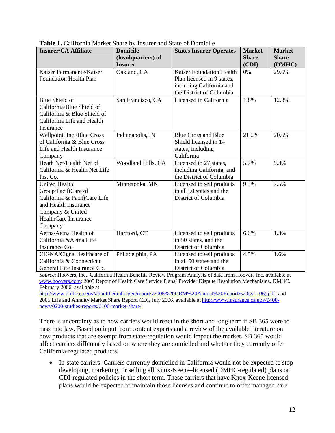| <b>Insurer/CA Affiliate</b>   | <b>Domicile</b><br>(headquarters) of | <b>States Insurer Operates</b>  | <b>Market</b><br><b>Share</b> | <b>Market</b><br><b>Share</b> |
|-------------------------------|--------------------------------------|---------------------------------|-------------------------------|-------------------------------|
|                               | <b>Insurer</b>                       |                                 | (CDI)                         | (DMHC)                        |
| Kaiser Permanente/Kaiser      | Oakland, CA                          | <b>Kaiser Foundation Health</b> | 0%                            | 29.6%                         |
| <b>Foundation Health Plan</b> |                                      | Plan licensed in 9 states,      |                               |                               |
|                               |                                      | including California and        |                               |                               |
|                               |                                      | the District of Columbia        |                               |                               |
| Blue Shield of                | San Francisco, CA                    | Licensed in California          | 1.8%                          | 12.3%                         |
| California/Blue Shield of     |                                      |                                 |                               |                               |
| California & Blue Shield of   |                                      |                                 |                               |                               |
| California Life and Health    |                                      |                                 |                               |                               |
| Insurance                     |                                      |                                 |                               |                               |
| Wellpoint, Inc./Blue Cross    | Indianapolis, IN                     | <b>Blue Cross and Blue</b>      | 21.2%                         | 20.6%                         |
| of California & Blue Cross    |                                      | Shield licensed in 14           |                               |                               |
| Life and Health Insurance     |                                      | states, including               |                               |                               |
| Company                       |                                      | California                      |                               |                               |
| Heath Net/Health Net of       | Woodland Hills, CA                   | Licensed in 27 states,          | 5.7%                          | 9.3%                          |
| California & Health Net Life  |                                      | including California, and       |                               |                               |
| Ins. Co.                      |                                      | the District of Columbia        |                               |                               |
| <b>United Health</b>          | Minnetonka, MN                       | Licensed to sell products       | 9.3%                          | 7.5%                          |
| Group/PacifiCare of           |                                      | in all 50 states and the        |                               |                               |
| California & PacifiCare Life  |                                      | District of Columbia            |                               |                               |
| and Health Insurance          |                                      |                                 |                               |                               |
| Company & United              |                                      |                                 |                               |                               |
| <b>HealthCare Insurance</b>   |                                      |                                 |                               |                               |
| Company                       |                                      |                                 |                               |                               |
| Aetna/Aetna Health of         | Hartford, CT                         | Licensed to sell products       | 6.6%                          | 1.3%                          |
| California & Aetna Life       |                                      | in 50 states, and the           |                               |                               |
| Insurance Co.                 |                                      | District of Columbia            |                               |                               |
| CIGNA/Cigna Healthcare of     | Philadelphia, PA                     | Licensed to sell products       | 4.5%                          | 1.6%                          |
| California & Connecticut      |                                      | in all 50 states and the        |                               |                               |
| General Life Insurance Co.    |                                      | District of Columbia            |                               |                               |

**Table 1.** California Market Share by Insurer and State of Domicile

*Source*: Hoovers, Inc., California Health Benefits Review Program Analysis of data from Hoovers Inc. available at www.hoovers.com; 2005 Report of Health Care Service Plans' Provider Dispute Resolution Mechanisms, DMHC. February 2006, available at

http://www.dmhc.ca.gov/aboutthedmhc/gen/reports/2005%20DRM%20Annual%20Report%20(3-1-06).pdf; and 2005 Life and Annuity Market Share Report. CDI, July 2006. available at http://www.insurance.ca.gov/0400 news/0200-studies-reports/0100-market-share/

There is uncertainty as to how carriers would react in the short and long term if SB 365 were to pass into law. Based on input from content experts and a review of the available literature on how products that are exempt from state-regulation would impact the market, SB 365 would affect carriers differently based on where they are domiciled and whether they currently offer California-regulated products.

• In-state carriers: Carriers currently domiciled in California would not be expected to stop developing, marketing, or selling all Knox-Keene–licensed (DMHC-regulated) plans or CDI-regulated policies in the short term. These carriers that have Knox-Keene licensed plans would be expected to maintain those licenses and continue to offer managed care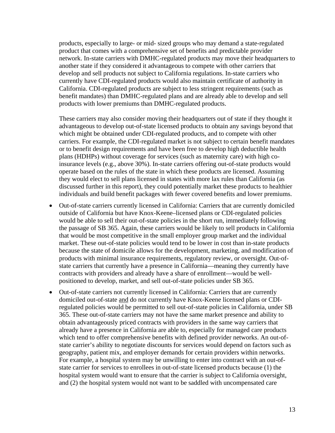products, especially to large- or mid- sized groups who may demand a state-regulated product that comes with a comprehensive set of benefits and predictable provider network. In-state carriers with DMHC-regulated products may move their headquarters to another state if they considered it advantageous to compete with other carriers that develop and sell products not subject to California regulations. In-state carriers who currently have CDI-regulated products would also maintain certificate of authority in California. CDI-regulated products are subject to less stringent requirements (such as benefit mandates) than DMHC-regulated plans and are already able to develop and sell products with lower premiums than DMHC-regulated products.

These carriers may also consider moving their headquarters out of state if they thought it advantageous to develop out-of-state licensed products to obtain any savings beyond that which might be obtained under CDI-regulated products, and to compete with other carriers. For example, the CDI-regulated market is not subject to certain benefit mandates or to benefit design requirements and have been free to develop high deductible health plans (HDHPs) without coverage for services (such as maternity care) with high coinsurance levels (e.g., above 30%). In-state carriers offering out-of-state products would operate based on the rules of the state in which these products are licensed. Assuming they would elect to sell plans licensed in states with more lax rules than California (as discussed further in this report), they could potentially market these products to healthier individuals and build benefit packages with fewer covered benefits and lower premiums.

- Out-of-state carriers currently licensed in California: Carriers that are currently domiciled outside of California but have Knox-Keene–licensed plans or CDI-regulated policies would be able to sell their out-of-state policies in the short run, immediately following the passage of SB 365. Again, these carriers would be likely to sell products in California that would be most competitive in the small employer group market and the individual market. These out-of-state policies would tend to be lower in cost than in-state products because the state of domicile allows for the development, marketing, and modification of products with minimal insurance requirements, regulatory review, or oversight. Out-ofstate carriers that currently have a presence in California—meaning they currently have contracts with providers and already have a share of enrollment—would be wellpositioned to develop, market, and sell out-of-state policies under SB 365.
- Out-of-state carriers not currently licensed in California: Carriers that are currently domiciled out-of-state and do not currently have Knox-Keene licensed plans or CDIregulated policies would be permitted to sell out-of-state policies in California, under SB 365. These out-of-state carriers may not have the same market presence and ability to obtain advantageously priced contracts with providers in the same way carriers that already have a presence in California are able to, especially for managed care products which tend to offer comprehensive benefits with defined provider networks. An out-ofstate carrier's ability to negotiate discounts for services would depend on factors such as geography, patient mix, and employer demands for certain providers within networks. For example, a hospital system may be unwilling to enter into contract with an out-ofstate carrier for services to enrollees in out-of-state licensed products because (1) the hospital system would want to ensure that the carrier is subject to California oversight, and (2) the hospital system would not want to be saddled with uncompensated care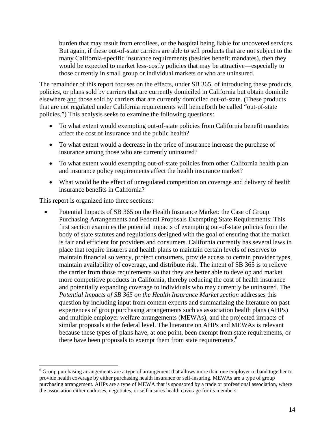burden that may result from enrollees, or the hospital being liable for uncovered services. But again, if these out-of-state carriers are able to sell products that are not subject to the many California-specific insurance requirements (besides benefit mandates), then they would be expected to market less-costly policies that may be attractive—especially to those currently in small group or individual markets or who are uninsured.

The remainder of this report focuses on the effects, under SB 365, of introducing these products, policies, or plans sold by carriers that are currently domiciled in California but obtain domicile elsewhere and those sold by carriers that are currently domiciled out-of-state. (These products that are not regulated under California requirements will henceforth be called "out-of-state policies.") This analysis seeks to examine the following questions:

- To what extent would exempting out-of-state policies from California benefit mandates affect the cost of insurance and the public health?
- To what extent would a decrease in the price of insurance increase the purchase of insurance among those who are currently uninsured?
- To what extent would exempting out-of-state policies from other California health plan and insurance policy requirements affect the health insurance market?
- What would be the effect of unregulated competition on coverage and delivery of health insurance benefits in California?

This report is organized into three sections:

 $\overline{a}$ 

• Potential Impacts of SB 365 on the Health Insurance Market: the Case of Group Purchasing Arrangements and Federal Proposals Exempting State Requirements: This first section examines the potential impacts of exempting out-of-state policies from the body of state statutes and regulations designed with the goal of ensuring that the market is fair and efficient for providers and consumers. California currently has several laws in place that require insurers and health plans to maintain certain levels of reserves to maintain financial solvency, protect consumers, provide access to certain provider types, maintain availability of coverage, and distribute risk. The intent of SB 365 is to relieve the carrier from those requirements so that they are better able to develop and market more competitive products in California, thereby reducing the cost of health insurance and potentially expanding coverage to individuals who may currently be uninsured. The *Potential Impacts of SB 365 on the Health Insurance Market section* addresses this question by including input from content experts and summarizing the literature on past experiences of group purchasing arrangements such as association health plans (AHPs) and multiple employer welfare arrangements (MEWAs), and the projected impacts of similar proposals at the federal level. The literature on AHPs and MEWAs is relevant because these types of plans have, at one point, been exempt from state requirements, or there have been proposals to exempt them from state requirements.<sup>6</sup>

 $6$  Group purchasing arrangements are a type of arrangement that allows more than one employer to band together to provide health coverage by either purchasing health insurance or self-insuring. MEWAs are a type of group purchasing arrangement. AHPs are a type of MEWA that is sponsored by a trade or professional association, where the association either endorses, negotiates, or self-insures health coverage for its members.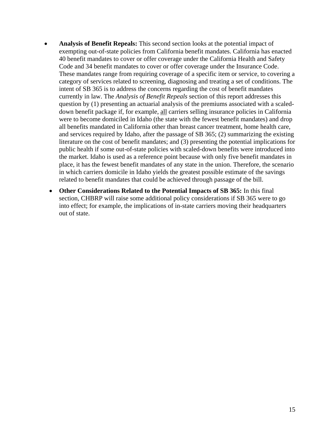- **Analysis of Benefit Repeals:** This second section looks at the potential impact of exempting out-of-state policies from California benefit mandates. California has enacted 40 benefit mandates to cover or offer coverage under the California Health and Safety Code and 34 benefit mandates to cover or offer coverage under the Insurance Code. These mandates range from requiring coverage of a specific item or service, to covering a category of services related to screening, diagnosing and treating a set of conditions. The intent of SB 365 is to address the concerns regarding the cost of benefit mandates currently in law. The *Analysis of Benefit Repeals* section of this report addresses this question by (1) presenting an actuarial analysis of the premiums associated with a scaleddown benefit package if, for example, all carriers selling insurance policies in California were to become domiciled in Idaho (the state with the fewest benefit mandates) and drop all benefits mandated in California other than breast cancer treatment, home health care, and services required by Idaho, after the passage of SB 365; (2) summarizing the existing literature on the cost of benefit mandates; and (3) presenting the potential implications for public health if some out-of-state policies with scaled-down benefits were introduced into the market. Idaho is used as a reference point because with only five benefit mandates in place, it has the fewest benefit mandates of any state in the union. Therefore, the scenario in which carriers domicile in Idaho yields the greatest possible estimate of the savings related to benefit mandates that could be achieved through passage of the bill.
	- **Other Considerations Related to the Potential Impacts of SB 365:** In this final section, CHBRP will raise some additional policy considerations if SB 365 were to go into effect; for example, the implications of in-state carriers moving their headquarters out of state.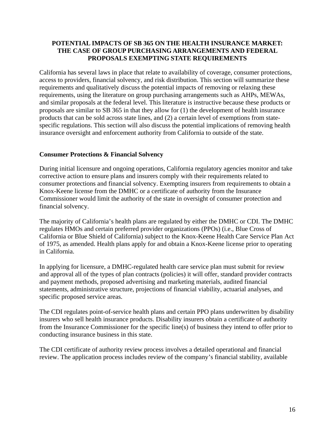## **POTENTIAL IMPACTS OF SB 365 ON THE HEALTH INSURANCE MARKET: THE CASE OF GROUP PURCHASING ARRANGEMENTS AND FEDERAL PROPOSALS EXEMPTING STATE REQUIREMENTS**

California has several laws in place that relate to availability of coverage, consumer protections, access to providers, financial solvency, and risk distribution. This section will summarize these requirements and qualitatively discuss the potential impacts of removing or relaxing these requirements, using the literature on group purchasing arrangements such as AHPs, MEWAs, and similar proposals at the federal level. This literature is instructive because these products or proposals are similar to SB 365 in that they allow for (1) the development of health insurance products that can be sold across state lines, and (2) a certain level of exemptions from statespecific regulations. This section will also discuss the potential implications of removing health insurance oversight and enforcement authority from California to outside of the state.

## **Consumer Protections & Financial Solvency**

During initial licensure and ongoing operations, California regulatory agencies monitor and take corrective action to ensure plans and insurers comply with their requirements related to consumer protections and financial solvency. Exempting insurers from requirements to obtain a Knox-Keene license from the DMHC or a certificate of authority from the Insurance Commissioner would limit the authority of the state in oversight of consumer protection and financial solvency.

The majority of California's health plans are regulated by either the DMHC or CDI. The DMHC regulates HMOs and certain preferred provider organizations (PPOs) (i.e., Blue Cross of California or Blue Shield of California) subject to the Knox-Keene Health Care Service Plan Act of 1975, as amended. Health plans apply for and obtain a Knox-Keene license prior to operating in California.

In applying for licensure, a DMHC-regulated health care service plan must submit for review and approval all of the types of plan contracts (policies) it will offer, standard provider contracts and payment methods, proposed advertising and marketing materials, audited financial statements, administrative structure, projections of financial viability, actuarial analyses, and specific proposed service areas.

The CDI regulates point-of-service health plans and certain PPO plans underwritten by disability insurers who sell health insurance products. Disability insurers obtain a certificate of authority from the Insurance Commissioner for the specific line(s) of business they intend to offer prior to conducting insurance business in this state.

The CDI certificate of authority review process involves a detailed operational and financial review. The application process includes review of the company's financial stability, available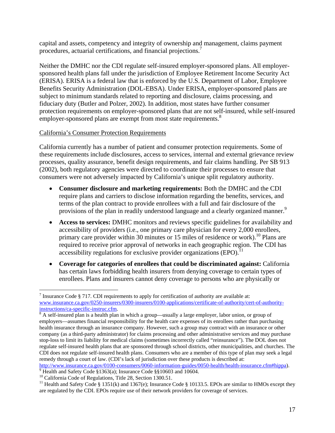capital and assets, competency and integrity of ownership and management, claims payment procedures, actuarial certifications, and financial projections.<sup>7</sup>

Neither the DMHC nor the CDI regulate self-insured employer-sponsored plans. All employersponsored health plans fall under the jurisdiction of Employee Retirement Income Security Act (ERISA). ERISA is a federal law that is enforced by the U.S. Department of Labor, Employee Benefits Security Administration (DOL-EBSA). Under ERISA, employer-sponsored plans are subject to minimum standards related to reporting and disclosure, claims processing, and fiduciary duty (Butler and Polzer, 2002). In addition, most states have further consumer protection requirements on employer-sponsored plans that are not self-insured, while self-insured employer-sponsored plans are exempt from most state requirements.<sup>8</sup>

## California's Consumer Protection Requirements

California currently has a number of patient and consumer protection requirements. Some of these requirements include disclosures, access to services, internal and external grievance review processes, quality assurance, benefit design requirements, and fair claims handling. Per SB 913 (2002), both regulatory agencies were directed to coordinate their processes to ensure that consumers were not adversely impacted by California's unique split regulatory authority.

- **Consumer disclosure and marketing requirements:** Both the DMHC and the CDI require plans and carriers to disclose information regarding the benefits, services, and terms of the plan contract to provide enrollees with a full and fair disclosure of the provisions of the plan in readily understood language and a clearly organized manner.<sup>9</sup>
- **Access to services:** DMHC monitors and reviews specific guidelines for availability and accessibility of providers (i.e., one primary care physician for every 2,000 enrollees, primary care provider within 30 minutes or 15 miles of residence or work).<sup>10</sup> Plans are required to receive prior approval of networks in each geographic region. The CDI has accessibility regulations for exclusive provider organizations  $(EPO)$ .<sup>11</sup>
- **Coverage for categories of enrollees that could be discriminated against:** California has certain laws forbidding health insurers from denying coverage to certain types of enrollees. Plans and insurers cannot deny coverage to persons who are physically or

http://www.insurance.ca.gov/0100-consumers/0060-information-guides/0050-health/health-insurance.cfm#hippa).

<sup>&</sup>lt;sup>7</sup> Insurance Code § 717. CDI requirements to apply for certification of authority are available at: www.insurance.ca.gov/0250-insurers/0300-insurers/0100-applications/certificate-of-authority/cert-of-authorityinstructions/ca-specific-instruc.cfm.<br><sup>8</sup> A self-insured plan is a health plan in which a group—usually a large employer, labor union, or group of

employers—assumes financial responsibility for the health care expenses of its enrollees rather than purchasing health insurance through an insurance company. However, such a group may contract with an insurance or other company (as a third-party administrator) for claims processing and other administrative services and may purchase stop-loss to limit its liability for medical claims (sometimes incorrectly called "reinsurance"). The DOL does not regulate self-insured health plans that are sponsored through school districts, other municipalities, and churches. The CDI does not regulate self-insured health plans. Consumers who are a member of this type of plan may seek a legal remedy through a court of law. (CDI's lack of jurisdiction over these products is described at:

 $9$  Health and Safety Code §1363(a); Insurance Code §§10603 and 10604.

<sup>&</sup>lt;sup>10</sup> California Code of Regulations, Title 28, Section 1300.51.

<sup>&</sup>lt;sup>11</sup> Health and Safety Code § 1351(k) and 1367(e); Insurance Code § 10133.5. EPOs are similar to HMOs except they are regulated by the CDI. EPOs require use of their network providers for coverage of services.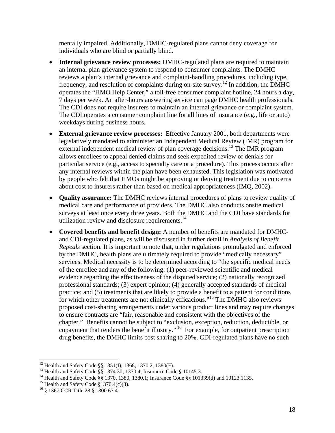mentally impaired. Additionally, DMHC-regulated plans cannot deny coverage for individuals who are blind or partially blind.

- **Internal grievance review processes:** DMHC-regulated plans are required to maintain an internal plan grievance system to respond to consumer complaints. The DMHC reviews a plan's internal grievance and complaint-handling procedures, including type, frequency, and resolution of complaints during on-site survey.12 In addition, the DMHC operates the "HMO Help Center," a toll-free consumer complaint hotline, 24 hours a day, 7 days per week. An after-hours answering service can page DMHC health professionals. The CDI does not require insurers to maintain an internal grievance or complaint system. The CDI operates a consumer complaint line for all lines of insurance (e.g., life or auto) weekdays during business hours.
- **External grievance review processes:** Effective January 2001, both departments were legislatively mandated to administer an Independent Medical Review (IMR) program for external independent medical review of plan coverage decisions.<sup>13</sup> The IMR program allows enrollees to appeal denied claims and seek expedited review of denials for particular service (e.g., access to specialty care or a procedure). This process occurs after any internal reviews within the plan have been exhausted. This legislation was motivated by people who felt that HMOs might be approving or denying treatment due to concerns about cost to insurers rather than based on medical appropriateness (IMQ, 2002).
- **Quality assurance:** The DMHC reviews internal procedures of plans to review quality of medical care and performance of providers. The DMHC also conducts onsite medical surveys at least once every three years. Both the DMHC and the CDI have standards for utilization review and disclosure requirements.<sup>14</sup>
- **Covered benefits and benefit design:** A number of benefits are mandated for DMHCand CDI-regulated plans, as will be discussed in further detail in *Analysis of Benefit Repeals* section. It is important to note that, under regulations promulgated and enforced by the DMHC, health plans are ultimately required to provide "medically necessary" services. Medical necessity is to be determined according to "the specific medical needs of the enrollee and any of the following: (1) peer-reviewed scientific and medical evidence regarding the effectiveness of the disputed service; (2) nationally recognized professional standards; (3) expert opinion; (4) generally accepted standards of medical practice; and (5) treatments that are likely to provide a benefit to a patient for conditions for which other treatments are not clinically efficacious."15 The DMHC also reviews proposed cost-sharing arrangements under various product lines and may require changes to ensure contracts are "fair, reasonable and consistent with the objectives of the chapter." Benefits cannot be subject to "exclusion, exception, reduction, deductible, or copayment that renders the benefit illusory." 16 For example, for outpatient prescription drug benefits, the DMHC limits cost sharing to 20%. CDI-regulated plans have no such

<sup>12</sup> Health and Safety Code §§ 1351(I), 1368, 1370.2, 1380(F).

<sup>&</sup>lt;sup>13</sup> Health and Safety Code §§ 1374.30; 1370.4; Insurance Code § 10145.3.

<sup>&</sup>lt;sup>14</sup> Health and Safety Code §§ 1370, 1380, 1380.1; Insurance Code §§ 101339(d) and 10123.1135.

<sup>&</sup>lt;sup>15</sup> Health and Safety Code §1370.4(c)(3).

<sup>16 § 1367</sup> CCR Title 28 § 1300.67.4.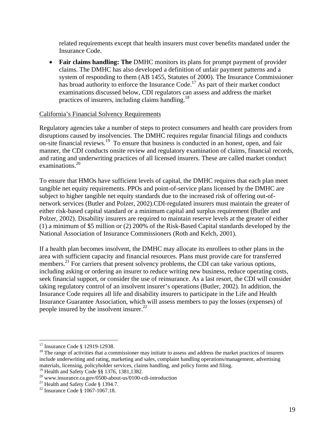related requirements except that health insurers must cover benefits mandated under the Insurance Code.

• **Fair claims handling: The** DMHC monitors its plans for prompt payment of provider claims. The DMHC has also developed a definition of unfair payment patterns and a system of responding to them (AB 1455, Statutes of 2000). The Insurance Commissioner has broad authority to enforce the Insurance Code.<sup>17</sup> As part of their market conduct examinations discussed below, CDI regulators can assess and address the market practices of insurers, including claims handling.<sup>18</sup>

## California's Financial Solvency Requirements

Regulatory agencies take a number of steps to protect consumers and health care providers from disruptions caused by insolvencies. The DMHC requires regular financial filings and conducts on-site financial reviews.19 To ensure that business is conducted in an honest, open, and fair manner, the CDI conducts onsite review and regulatory examination of claims, financial records, and rating and underwriting practices of all licensed insurers. These are called market conduct examinations.<sup>20</sup>

To ensure that HMOs have sufficient levels of capital, the DMHC requires that each plan meet tangible net equity requirements. PPOs and point-of-service plans licensed by the DMHC are subject to higher tangible net equity standards due to the increased risk of offering out-ofnetwork services (Butler and Polzer, 2002).CDI-regulated insurers must maintain the greater of either risk-based capital standard or a minimum capital and surplus requirement (Butler and Polzer, 2002). Disability insurers are required to maintain reserve levels at the greater of either (1) a minimum of \$5 million or (2) 200% of the Risk-Based Capital standards developed by the National Association of Insurance Commissioners (Roth and Kelch, 2001).

If a health plan becomes insolvent, the DMHC may allocate its enrollees to other plans in the area with sufficient capacity and financial resources. Plans must provide care for transferred members. $^{21}$  For carriers that present solvency problems, the CDI can take various options, including asking or ordering an insurer to reduce writing new business, reduce operating costs, seek financial support, or consider the use of reinsurance. As a last resort, the CDI will consider taking regulatory control of an insolvent insurer's operations (Butler, 2002). In addition, the Insurance Code requires all life and disability insurers to participate in the Life and Health Insurance Guarantee Association, which will assess members to pay the losses (expenses) of people insured by the insolvent insurer.<sup>22</sup>

<sup>&</sup>lt;sup>17</sup> Insurance Code § 12919-12938.

<sup>&</sup>lt;sup>18</sup> The range of activities that a commissioner may initiate to assess and address the market practices of insurers include underwriting and rating, marketing and sales, complaint handling operations/management, advertising materials, licensing, policyholder services, claims handling, and policy forms and filing.

<sup>19</sup> Health and Safety Code §§ 1376, 1381,1382.

<sup>20</sup> www.insurance.ca.gov/0500-about-us/0100-cdi-introduction

<sup>&</sup>lt;sup>21</sup> Health and Safety Code § 1394.7.

<sup>22</sup> Insurance Code § 1067-1067.18.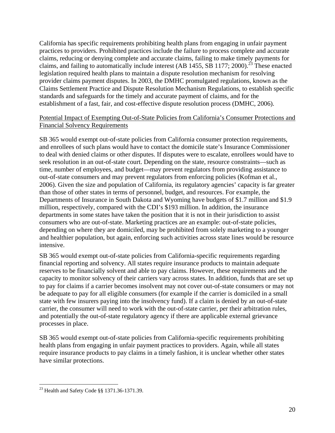California has specific requirements prohibiting health plans from engaging in unfair payment practices to providers. Prohibited practices include the failure to process complete and accurate claims, reducing or denying complete and accurate claims, failing to make timely payments for claims, and failing to automatically include interest (AB 1455, SB 1177; 2000).<sup>23</sup> These enacted legislation required health plans to maintain a dispute resolution mechanism for resolving provider claims payment disputes. In 2003, the DMHC promulgated regulations, known as the Claims Settlement Practice and Dispute Resolution Mechanism Regulations, to establish specific standards and safeguards for the timely and accurate payment of claims, and for the establishment of a fast, fair, and cost-effective dispute resolution process (DMHC, 2006).

## Potential Impact of Exempting Out-of-State Policies from California's Consumer Protections and Financial Solvency Requirements

SB 365 would exempt out-of-state policies from California consumer protection requirements, and enrollees of such plans would have to contact the domicile state's Insurance Commissioner to deal with denied claims or other disputes. If disputes were to escalate, enrollees would have to seek resolution in an out-of-state court. Depending on the state, resource constraints—such as time, number of employees, and budget—may prevent regulators from providing assistance to out-of-state consumers and may prevent regulators from enforcing policies (Kofman et al., 2006). Given the size and population of California, its regulatory agencies' capacity is far greater than those of other states in terms of personnel, budget, and resources. For example, the Departments of Insurance in South Dakota and Wyoming have budgets of \$1.7 million and \$1.9 million, respectively, compared with the CDI's \$193 million. In addition, the insurance departments in some states have taken the position that it is not in their jurisdiction to assist consumers who are out-of-state. Marketing practices are an example: out-of-state policies, depending on where they are domiciled, may be prohibited from solely marketing to a younger and healthier population, but again, enforcing such activities across state lines would be resource intensive.

SB 365 would exempt out-of-state policies from California-specific requirements regarding financial reporting and solvency. All states require insurance products to maintain adequate reserves to be financially solvent and able to pay claims. However, these requirements and the capacity to monitor solvency of their carriers vary across states. In addition, funds that are set up to pay for claims if a carrier becomes insolvent may not cover out-of-state consumers or may not be adequate to pay for all eligible consumers (for example if the carrier is domiciled in a small state with few insurers paying into the insolvency fund). If a claim is denied by an out-of-state carrier, the consumer will need to work with the out-of-state carrier, per their arbitration rules, and potentially the out-of-state regulatory agency if there are applicable external grievance processes in place.

SB 365 would exempt out-of-state policies from California-specific requirements prohibiting health plans from engaging in unfair payment practices to providers. Again, while all states require insurance products to pay claims in a timely fashion, it is unclear whether other states have similar protections.

 $\overline{a}$ 23 Health and Safety Code §§ 1371.36-1371.39.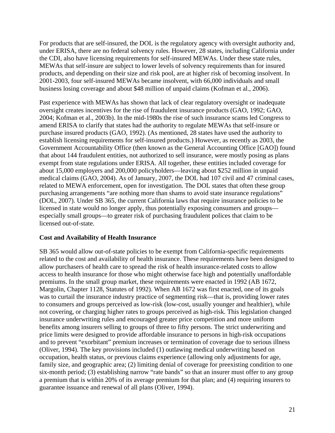For products that are self-insured, the DOL is the regulatory agency with oversight authority and, under ERISA, there are no federal solvency rules. However, 28 states, including California under the CDI, also have licensing requirements for self-insured MEWAs. Under these state rules, MEWAs that self-insure are subject to lower levels of solvency requirements than for insured products, and depending on their size and risk pool, are at higher risk of becoming insolvent. In 2001-2003, four self-insured MEWAs became insolvent, with 66,000 individuals and small business losing coverage and about \$48 million of unpaid claims (Kofman et al., 2006).

Past experience with MEWAs has shown that lack of clear regulatory oversight or inadequate oversight creates incentives for the rise of fraudulent insurance products (GAO, 1992; GAO, 2004; Kofman et al., 2003b). In the mid-1980s the rise of such insurance scams led Congress to amend ERISA to clarify that states had the authority to regulate MEWAs that self-insure or purchase insured products (GAO, 1992). (As mentioned, 28 states have used the authority to establish licensing requirements for self-insured products.) However, as recently as 2003, the Government Accountability Office (then known as the General Accounting Office [GAO]) found that about 144 fraudulent entities, not authorized to sell insurance, were mostly posing as plans exempt from state regulations under ERISA. All together, these entities included coverage for about 15,000 employers and 200,000 policyholders—leaving about \$252 million in unpaid medical claims (GAO, 2004). As of January, 2007, the DOL had 107 civil and 47 criminal cases, related to MEWA enforcement, open for investigation. The DOL states that often these group purchasing arrangements "are nothing more than shams to avoid state insurance regulations" (DOL, 2007). Under SB 365, the current California laws that require insurance policies to be licensed in state would no longer apply, thus potentially exposing consumers and groups especially small groups—to greater risk of purchasing fraudulent polices that claim to be licensed out-of-state.

## **Cost and Availability of Health Insurance**

SB 365 would allow out-of-state policies to be exempt from California-specific requirements related to the cost and availability of health insurance. These requirements have been designed to allow purchasers of health care to spread the risk of health insurance-related costs to allow access to health insurance for those who might otherwise face high and potentially unaffordable premiums. In the small group market, these requirements were enacted in 1992 (AB 1672, Margolin, Chapter 1128, Statutes of 1992). When AB 1672 was first enacted, one of its goals was to curtail the insurance industry practice of segmenting risk—that is, providing lower rates to consumers and groups perceived as low-risk (low-cost, usually younger and healthier), while not covering, or charging higher rates to groups perceived as high-risk. This legislation changed insurance underwriting rules and encouraged greater price competition and more uniform benefits among insurers selling to groups of three to fifty persons. The strict underwriting and price limits were designed to provide affordable insurance to persons in high-risk occupations and to prevent "exorbitant" premium increases or termination of coverage due to serious illness (Oliver, 1994). The key provisions included (1) outlawing medical underwriting based on occupation, health status, or previous claims experience (allowing only adjustments for age, family size, and geographic area; (2) limiting denial of coverage for preexisting condition to one six-month period; (3) establishing narrow "rate bands" so that an insurer must offer to any group a premium that is within 20% of its average premium for that plan; and (4) requiring insurers to guarantee issuance and renewal of all plans (Oliver, 1994).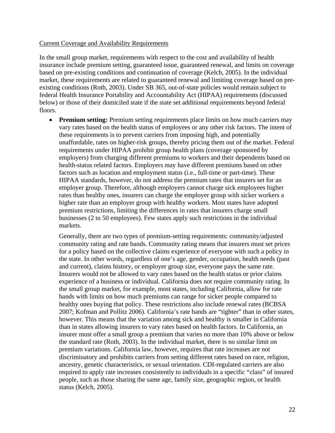### Current Coverage and Availability Requirements

In the small group market, requirements with respect to the cost and availability of health insurance include premium setting, guaranteed issue, guaranteed renewal, and limits on coverage based on pre-existing conditions and continuation of coverage (Kelch, 2005). In the individual market, these requirements are related to guaranteed renewal and limiting coverage based on preexisting conditions (Roth, 2003). Under SB 365, out-of-state policies would remain subject to federal Health Insurance Portability and Accountability Act (HIPAA) requirements (discussed below) or those of their domiciled state if the state set additional requirements beyond federal floors.

• **Premium setting:** Premium setting requirements place limits on how much carriers may vary rates based on the health status of employees or any other risk factors. The intent of these requirements is to prevent carriers from imposing high, and potentially unaffordable, rates on higher-risk groups, thereby pricing them out of the market. Federal requirements under HIPAA prohibit group health plans (coverage sponsored by employers) from charging different premiums to workers and their dependents based on health-status related factors. Employers may have different premiums based on other factors such as location and employment status (i.e., full-time or part-time). These HIPAA standards, however, do not address the premium rates that insurers set for an employer group. Therefore, although employers cannot charge sick employees higher rates than healthy ones, insurers can charge the employer group with sicker workers a higher rate than an employer group with healthy workers. Most states have adopted premium restrictions, limiting the differences in rates that insurers charge small businesses (2 to 50 employees). Few states apply such restrictions in the individual markets.

Generally, there are two types of premium-setting requirements: community/adjusted community rating and rate bands. Community rating means that insurers must set prices for a policy based on the collective claims experience of everyone with such a policy in the state. In other words, regardless of one's age, gender, occupation, health needs (past and current), claims history, or employer group size, everyone pays the same rate. Insurers would not be allowed to vary rates based on the health status or prior claims experience of a business or individual. California does not require community rating. In the small group market, for example, most states, including California, allow for rate bands with limits on how much premiums can range for sicker people compared to healthy ones buying that policy. These restrictions also include renewal rates (BCBSA 2007; Kofman and Pollitz 2006). California's rate bands are "tighter" than in other states, however. This means that the variation among sick and healthy is smaller in California than in states allowing insurers to vary rates based on health factors. In California, an insurer must offer a small group a premium that varies no more than 10% above or below the standard rate (Roth, 2003). In the individual market, there is no similar limit on premium variations. California law, however, requires that rate increases are not discriminatory and prohibits carriers from setting different rates based on race, religion, ancestry, genetic characteristics, or sexual orientation. CDI-regulated carriers are also required to apply rate increases consistently to individuals in a specific "class" of insured people, such as those sharing the same age, family size, geographic region, or health status (Kelch, 2005).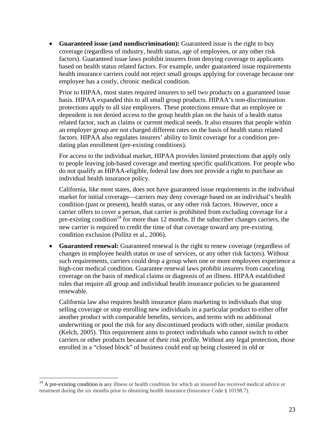• **Guaranteed issue (and nondiscrimination):** Guaranteed issue is the right to buy coverage (regardless of industry, health status, age of employees, or any other risk factors). Guaranteed issue laws prohibit insurers from denying coverage to applicants based on health status related factors. For example, under guaranteed issue requirements health insurance carriers could not reject small groups applying for coverage because one employee has a costly, chronic medical condition.

Prior to HIPAA, most states required insurers to sell two products on a guaranteed issue basis. HIPAA expanded this to all small group products. HIPAA's non-discrimination protections apply to all size employers. These protections ensure that an employee or dependent is not denied access to the group health plan on the basis of a health status related factor, such as claims or current medical needs. It also ensures that people within an employer group are not charged different rates on the basis of health status related factors. HIPAA also regulates insurers' ability to limit coverage for a condition predating plan enrollment (pre-existing conditions).

For access to the individual market, HIPAA provides limited protections that apply only to people leaving job-based coverage and meeting specific qualifications. For people who do not qualify as HIPAA-eligible, federal law does not provide a right to purchase an individual health insurance policy.

California, like most states, does not have guaranteed issue requirements in the individual market for initial coverage—carriers may deny coverage based on an individual's health condition (past or present), health status, or any other risk factors. However, once a carrier offers to cover a person, that carrier is prohibited from excluding coverage for a pre-existing condition<sup>24</sup> for more than 12 months. If the subscriber changes carriers, the new carrier is required to credit the time of that coverage toward any pre-existing condition exclusion (Pollitz et al., 2006).

• Guaranteed renewal: Guaranteed renewal is the right to renew coverage (regardless of changes in employee health status or use of services, or any other risk factors). Without such requirements, carriers could drop a group when one or more employees experience a high-cost medical condition. Guarantee renewal laws prohibit insurers from canceling coverage on the basis of medical claims or diagnosis of an illness. HIPAA established rules that require all group and individual health insurance policies to be guaranteed renewable.

California law also requires health insurance plans marketing to individuals that stop selling coverage or stop enrolling new individuals in a particular product to either offer another product with comparable benefits, services, and terms with no additional underwriting or pool the risk for any discontinued products with other, similar products (Kelch, 2005). This requirement aims to protect individuals who cannot switch to other carriers or other products because of their risk profile. Without any legal protection, those enrolled in a "closed block" of business could end up being clustered in old or

1

 $24$  A pre-existing condition is any illness or health condition for which an insured has received medical advice or treatment during the six months prior to obtaining health insurance (Insurance Code § 10198.7).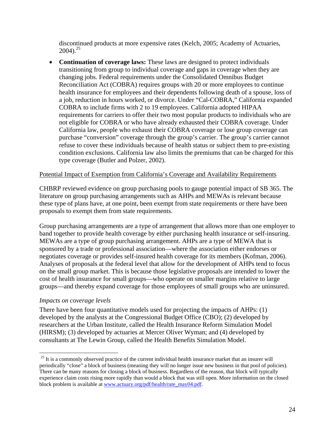discontinued products at more expensive rates (Kelch, 2005; Academy of Actuaries,  $2004$ )<sup>25</sup>

• **Continuation of coverage laws:** These laws are designed to protect individuals transitioning from group to individual coverage and gaps in coverage when they are changing jobs. Federal requirements under the Consolidated Omnibus Budget Reconciliation Act (COBRA) requires groups with 20 or more employees to continue health insurance for employees and their dependents following death of a spouse, loss of a job, reduction in hours worked, or divorce. Under "Cal-COBRA," California expanded COBRA to include firms with 2 to 19 employees. California adopted HIPAA requirements for carriers to offer their two most popular products to individuals who are not eligible for COBRA or who have already exhausted their COBRA coverage. Under California law, people who exhaust their COBRA coverage or lose group coverage can purchase "conversion" coverage through the group's carrier. The group's carrier cannot refuse to cover these individuals because of health status or subject them to pre-existing condition exclusions. California law also limits the premiums that can be charged for this type coverage (Butler and Polzer, 2002).

## Potential Impact of Exemption from California's Coverage and Availability Requirements

CHBRP reviewed evidence on group purchasing pools to gauge potential impact of SB 365. The literature on group purchasing arrangements such as AHPs and MEWAs is relevant because these type of plans have, at one point, been exempt from state requirements or there have been proposals to exempt them from state requirements.

Group purchasing arrangements are a type of arrangement that allows more than one employer to band together to provide health coverage by either purchasing health insurance or self-insuring. MEWAs are a type of group purchasing arrangement. AHPs are a type of MEWA that is sponsored by a trade or professional association—where the association either endorses or negotiates coverage or provides self-insured health coverage for its members (Kofman, 2006). Analyses of proposals at the federal level that allow for the development of AHPs tend to focus on the small group market. This is because those legislative proposals are intended to lower the cost of health insurance for small groups—who operate on smaller margins relative to large groups—and thereby expand coverage for those employees of small groups who are uninsured.

## *Impacts on coverage levels*

1

There have been four quantitative models used for projecting the impacts of AHPs: (1) developed by the analysts at the Congressional Budget Office (CBO); (2) developed by researchers at the Urban Institute, called the Health Insurance Reform Simulation Model (HIRSM); (3) developed by actuaries at Mercer Oliver Wyman; and (4) developed by consultants at The Lewin Group, called the Health Benefits Simulation Model.

 $25$  It is a commonly observed practice of the current individual health insurance market that an insurer will periodically "close" a block of business (meaning they will no longer issue new business in that pool of policies). There can be many reasons for closing a block of business. Regardless of the reason, that block will typically experience claim costs rising more rapidly than would a block that was still open. More information on the closed block problem is available at www.actuary.org/pdf/health/rate\_may04.pdf.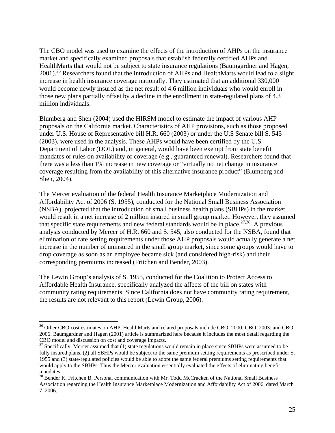The CBO model was used to examine the effects of the introduction of AHPs on the insurance market and specifically examined proposals that establish federally certified AHPs and HealthMarts that would not be subject to state insurance regulations (Baumgardner and Hagen, 2001).<sup>26</sup> Researchers found that the introduction of AHPs and HealthMarts would lead to a slight increase in health insurance coverage nationally. They estimated that an additional 330,000 would become newly insured as the net result of 4.6 million individuals who would enroll in those new plans partially offset by a decline in the enrollment in state-regulated plans of 4.3 million individuals.

Blumberg and Shen (2004) used the HIRSM model to estimate the impact of various AHP proposals on the California market. Characteristics of AHP provisions, such as those proposed under U.S. House of Representative bill H.R. 660 (2003) or under the U.S Senate bill S. 545 (2003), were used in the analysis. These AHPs would have been certified by the U.S. Department of Labor (DOL) and, in general, would have been exempt from state benefit mandates or rules on availability of coverage (e.g., guaranteed renewal). Researchers found that there was a less than 1% increase in new coverage or "virtually no net change in insurance coverage resulting from the availability of this alternative insurance product" (Blumberg and Shen, 2004).

The Mercer evaluation of the federal Health Insurance Marketplace Modernization and Affordability Act of 2006 (S. 1955), conducted for the National Small Business Association (NSBA), projected that the introduction of small business health plans (SBHPs) in the market would result in a net increase of 2 million insured in small group market. However, they assumed that specific state requirements and new federal standards would be in place.<sup>27,28</sup> A previous analysis conducted by Mercer of H.R. 660 and S. 545, also conducted for the NSBA, found that elimination of rate setting requirements under those AHP proposals would actually generate a net increase in the number of uninsured in the small group market, since some groups would have to drop coverage as soon as an employee became sick (and considered high-risk) and their corresponding premiums increased (Fritchen and Bender, 2003).

The Lewin Group's analysis of S. 1955, conducted for the Coalition to Protect Access to Affordable Health Insurance, specifically analyzed the affects of the bill on states with community rating requirements. Since California does not have community rating requirement, the results are not relevant to this report (Lewin Group, 2006).

<sup>&</sup>lt;sup>26</sup> Other CBO cost estimates on AHP, HealthMarts and related proposals include CBO, 2000; CBO, 2003; and CBO, 2006. Baumgardner and Hagen (2001) article is summarized here because it includes the most detail regarding the CBO model and discussion on cost and coverage impacts.

 $27$  Specifically, Mercer assumed that (1) state regulations would remain in place since SBHPs were assumed to be fully insured plans, (2) all SBHPs would be subject to the same premium setting requirements as proscribed under S. 1955 and (3) state-regulated policies would be able to adopt the same federal premiums setting requirements that would apply to the SBHPs. Thus the Mercer evaluation essentially evaluated the effects of eliminating benefit mandates.

 $^{28}$  Bender K, Fritchen B. Personal communication with Mr. Todd McCracken of the National Small Business Association regarding the Health Insurance Marketplace Modernization and Affordability Act of 2006, dated March 7, 2006.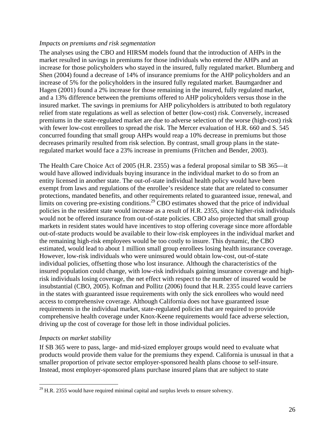### *Impacts on premiums and risk segmentation*

The analyses using the CBO and HIRSM models found that the introduction of AHPs in the market resulted in savings in premiums for those individuals who entered the AHPs and an increase for those policyholders who stayed in the insured, fully regulated market. Blumberg and Shen (2004) found a decrease of 14% of insurance premiums for the AHP policyholders and an increase of 5% for the policyholders in the insured fully regulated market. Baumgardner and Hagen (2001) found a 2% increase for those remaining in the insured, fully regulated market, and a 13% difference between the premiums offered to AHP policyholders versus those in the insured market. The savings in premiums for AHP policyholders is attributed to both regulatory relief from state regulations as well as selection of better (low-cost) risk. Conversely, increased premiums in the state-regulated market are due to adverse selection of the worse (high-cost) risk with fewer low-cost enrollees to spread the risk. The Mercer evaluation of H.R. 660 and S. 545 concurred founding that small group AHPs would reap a 10% decrease in premiums but those decreases primarily resulted from risk selection. By contrast, small group plans in the stateregulated market would face a 23% increase in premiums (Fritchen and Bender, 2003).

The Health Care Choice Act of 2005 (H.R. 2355) was a federal proposal similar to SB 365—it would have allowed individuals buying insurance in the individual market to do so from an entity licensed in another state. The out-of-state individual health policy would have been exempt from laws and regulations of the enrollee's residence state that are related to consumer protections, mandated benefits, and other requirements related to guaranteed issue, renewal, and limits on covering pre-existing conditions.<sup>29</sup> CBO estimates showed that the price of individual policies in the resident state would increase as a result of H.R. 2355, since higher-risk individuals would not be offered insurance from out-of-state policies. CBO also projected that small group markets in resident states would have incentives to stop offering coverage since more affordable out-of-state products would be available to their low-risk employees in the individual market and the remaining high-risk employees would be too costly to insure. This dynamic, the CBO estimated, would lead to about 1 million small group enrollees losing health insurance coverage. However, low-risk individuals who were uninsured would obtain low-cost, out-of-state individual policies, offsetting those who lost insurance. Although the characteristics of the insured population could change, with low-risk individuals gaining insurance coverage and highrisk individuals losing coverage, the net effect with respect to the number of insured would be insubstantial (CBO, 2005). Kofman and Pollitz (2006) found that H.R. 2355 could leave carriers in the states with guaranteed issue requirements with only the sick enrollees who would need access to comprehensive coverage. Although California does not have guaranteed issue requirements in the individual market, state-regulated policies that are required to provide comprehensive health coverage under Knox-Keene requirements would face adverse selection, driving up the cost of coverage for those left in those individual policies.

## *Impacts on market stability*

 $\overline{a}$ 

If SB 365 were to pass, large- and mid-sized employer groups would need to evaluate what products would provide them value for the premiums they expend. California is unusual in that a smaller proportion of private sector employer-sponsored health plans choose to self-insure. Instead, most employer-sponsored plans purchase insured plans that are subject to state

 $^{29}$  H.R. 2355 would have required minimal capital and surplus levels to ensure solvency.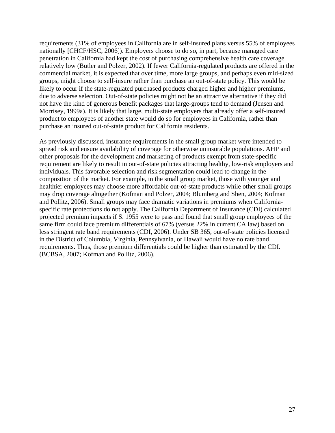requirements (31% of employees in California are in self-insured plans versus 55% of employees nationally [CHCF/HSC, 2006]). Employers choose to do so, in part, because managed care penetration in California had kept the cost of purchasing comprehensive health care coverage relatively low (Butler and Polzer, 2002). If fewer California-regulated products are offered in the commercial market, it is expected that over time, more large groups, and perhaps even mid-sized groups, might choose to self-insure rather than purchase an out-of-state policy. This would be likely to occur if the state-regulated purchased products charged higher and higher premiums, due to adverse selection. Out-of-state policies might not be an attractive alternative if they did not have the kind of generous benefit packages that large-groups tend to demand (Jensen and Morrisey, 1999a). It is likely that large, multi-state employers that already offer a self-insured product to employees of another state would do so for employees in California, rather than purchase an insured out-of-state product for California residents.

As previously discussed, insurance requirements in the small group market were intended to spread risk and ensure availability of coverage for otherwise uninsurable populations. AHP and other proposals for the development and marketing of products exempt from state-specific requirement are likely to result in out-of-state policies attracting healthy, low-risk employers and individuals. This favorable selection and risk segmentation could lead to change in the composition of the market. For example, in the small group market, those with younger and healthier employees may choose more affordable out-of-state products while other small groups may drop coverage altogether (Kofman and Polzer, 2004; Blumberg and Shen, 2004; Kofman and Pollitz, 2006). Small groups may face dramatic variations in premiums when Californiaspecific rate protections do not apply. The California Department of Insurance (CDI) calculated projected premium impacts if S. 1955 were to pass and found that small group employees of the same firm could face premium differentials of 67% (versus 22% in current CA law) based on less stringent rate band requirements (CDI, 2006). Under SB 365, out-of-state policies licensed in the District of Columbia, Virginia, Pennsylvania, or Hawaii would have no rate band requirements. Thus, those premium differentials could be higher than estimated by the CDI. (BCBSA, 2007; Kofman and Pollitz, 2006).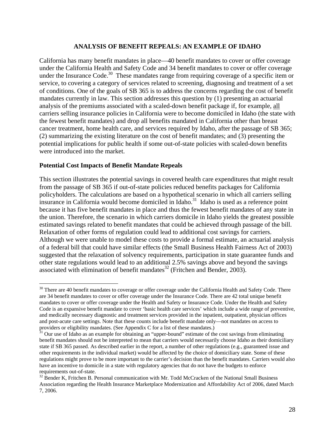#### **ANALYSIS OF BENEFIT REPEALS: AN EXAMPLE OF IDAHO**

California has many benefit mandates in place—40 benefit mandates to cover or offer coverage under the California Health and Safety Code and 34 benefit mandates to cover or offer coverage under the Insurance Code.<sup>30</sup> These mandates range from requiring coverage of a specific item or service, to covering a category of services related to screening, diagnosing and treatment of a set of conditions. One of the goals of SB 365 is to address the concerns regarding the cost of benefit mandates currently in law. This section addresses this question by (1) presenting an actuarial analysis of the premiums associated with a scaled-down benefit package if, for example, all carriers selling insurance policies in California were to become domiciled in Idaho (the state with the fewest benefit mandates) and drop all benefits mandated in California other than breast cancer treatment, home health care, and services required by Idaho, after the passage of SB 365; (2) summarizing the existing literature on the cost of benefit mandates; and (3) presenting the potential implications for public health if some out-of-state policies with scaled-down benefits were introduced into the market.

#### **Potential Cost Impacts of Benefit Mandate Repeals**

 $\overline{a}$ 

This section illustrates the potential savings in covered health care expenditures that might result from the passage of SB 365 if out-of-state policies reduced benefits packages for California policyholders. The calculations are based on a hypothetical scenario in which all carriers selling insurance in California would become domiciled in Idaho.<sup>31</sup> Idaho is used as a reference point because it has five benefit mandates in place and thus the fewest benefit mandates of any state in the union. Therefore, the scenario in which carriers domicile in Idaho yields the greatest possible estimated savings related to benefit mandates that could be achieved through passage of the bill. Relaxation of other forms of regulation could lead to additional cost savings for carriers. Although we were unable to model these costs to provide a formal estimate, an actuarial analysis of a federal bill that could have similar effects (the Small Business Health Fairness Act of 2003) suggested that the relaxation of solvency requirements, participation in state guarantee funds and other state regulations would lead to an additional 2.5% savings above and beyond the savings associated with elimination of benefit mandates $^{32}$  (Fritchen and Bender, 2003).

<sup>&</sup>lt;sup>30</sup> There are 40 benefit mandates to coverage or offer coverage under the California Health and Safety Code. There are 34 benefit mandates to cover or offer coverage under the Insurance Code. There are 42 total unique benefit mandates to cover or offer coverage under the Health and Safety or Insurance Code. Under the Health and Safety Code is an expansive benefit mandate to cover 'basic health care services' which include a wide range of preventive, and medically necessary diagnostic and treatment services provided in the inpatient, outpatient, physician offices and post-acute care settings. Note that these counts include benefit mandate only—not mandates on access to providers or eligibility mandates. (See Appendix C for a list of these mandates.)

 $31$  Our use of Idaho as an example for obtaining an "upper-bound" estimate of the cost savings from eliminating benefit mandates should not be interpreted to mean that carriers would necessarily choose Idaho as their domiciliary state if SB 365 passed. As described earlier in the report, a number of other regulations (e.g., guaranteed issue and other requirements in the individual market) would be affected by the choice of domiciliary state. Some of these regulations might prove to be more important to the carrier's decision than the benefit mandates. Carriers would also have an incentive to domicile in a state with regulatory agencies that do not have the budgets to enforce requirements out-of-state.

 $32$  Bender K, Fritchen B. Personal communication with Mr. Todd McCracken of the National Small Business Association regarding the Health Insurance Marketplace Modernization and Affordability Act of 2006, dated March 7, 2006.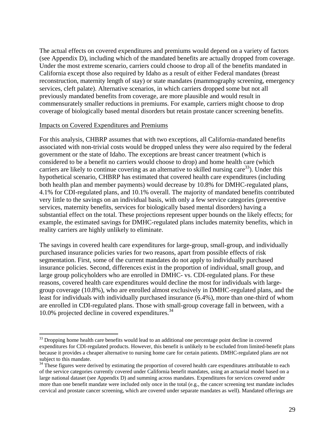The actual effects on covered expenditures and premiums would depend on a variety of factors (see Appendix D), including which of the mandated benefits are actually dropped from coverage. Under the most extreme scenario, carriers could choose to drop all of the benefits mandated in California except those also required by Idaho as a result of either Federal mandates (breast reconstruction, maternity length of stay) or state mandates (mammography screening, emergency services, cleft palate). Alternative scenarios, in which carriers dropped some but not all previously mandated benefits from coverage, are more plausible and would result in commensurately smaller reductions in premiums. For example, carriers might choose to drop coverage of biologically based mental disorders but retain prostate cancer screening benefits.

#### Impacts on Covered Expenditures and Premiums

 $\overline{a}$ 

For this analysis, CHBRP assumes that with two exceptions, all California-mandated benefits associated with non-trivial costs would be dropped unless they were also required by the federal government or the state of Idaho. The exceptions are breast cancer treatment (which is considered to be a benefit no carriers would choose to drop) and home health care (which carriers are likely to continue covering as an alternative to skilled nursing care<sup>33</sup>). Under this hypothetical scenario, CHBRP has estimated that covered health care expenditures (including both health plan and member payments) would decrease by 10.8% for DMHC-regulated plans, 4.1% for CDI-regulated plans, and 10.1% overall. The majority of mandated benefits contributed very little to the savings on an individual basis, with only a few service categories (preventive services, maternity benefits, services for biologically based mental disorders) having a substantial effect on the total. These projections represent upper bounds on the likely effects; for example, the estimated savings for DMHC-regulated plans includes maternity benefits, which in reality carriers are highly unlikely to eliminate.

The savings in covered health care expenditures for large-group, small-group, and individually purchased insurance policies varies for two reasons, apart from possible effects of risk segmentation. First, some of the current mandates do not apply to individually purchased insurance policies. Second, differences exist in the proportion of individual, small group, and large group policyholders who are enrolled in DMHC- vs. CDI-regulated plans. For these reasons, covered health care expenditures would decline the most for individuals with largegroup coverage (10.8%), who are enrolled almost exclusively in DMHC-regulated plans, and the least for individuals with individually purchased insurance (6.4%), more than one-third of whom are enrolled in CDI-regulated plans. Those with small-group coverage fall in between, with a 10.0% projected decline in covered expenditures.<sup>34</sup>

<sup>&</sup>lt;sup>33</sup> Dropping home health care benefits would lead to an additional one percentage point decline in covered expenditures for CDI-regulated products. However, this benefit is unlikely to be excluded from limited-benefit plans because it provides a cheaper alternative to nursing home care for certain patients. DMHC-regulated plans are not subject to this mandate.

 $34$  These figures were derived by estimating the proportion of covered health care expenditures attributable to each of the service categories currently covered under California benefit mandates, using an actuarial model based on a large national dataset (see Appendix D) and summing across mandates. Expenditures for services covered under more than one benefit mandate were included only once in the total (e.g., the cancer screening test mandate includes cervical and prostate cancer screening, which are covered under separate mandates as well). Mandated offerings are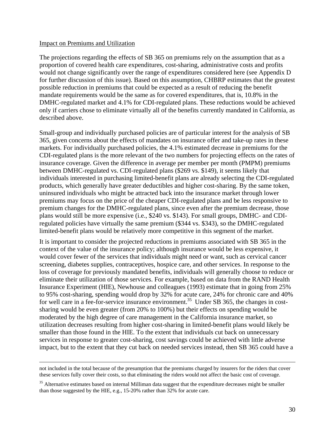#### Impact on Premiums and Utilization

The projections regarding the effects of SB 365 on premiums rely on the assumption that as a proportion of covered health care expenditures, cost-sharing, administrative costs and profits would not change significantly over the range of expenditures considered here (see Appendix D for further discussion of this issue). Based on this assumption, CHBRP estimates that the greatest possible reduction in premiums that could be expected as a result of reducing the benefit mandate requirements would be the same as for covered expenditures, that is, 10.8% in the DMHC-regulated market and 4.1% for CDI-regulated plans. These reductions would be achieved only if carriers chose to eliminate virtually all of the benefits currently mandated in California, as described above.

Small-group and individually purchased policies are of particular interest for the analysis of SB 365, given concerns about the effects of mandates on insurance offer and take-up rates in these markets. For individually purchased policies, the 4.1% estimated decrease in premiums for the CDI-regulated plans is the more relevant of the two numbers for projecting effects on the rates of insurance coverage. Given the difference in average per member per month (PMPM) premiums between DMHC-regulated vs. CDI-regulated plans (\$269 vs. \$149), it seems likely that individuals interested in purchasing limited-benefit plans are already selecting the CDI-regulated products, which generally have greater deductibles and higher cost-sharing. By the same token, uninsured individuals who might be attracted back into the insurance market through lower premiums may focus on the price of the cheaper CDI-regulated plans and be less responsive to premium changes for the DMHC-regulated plans, since even after the premium decrease, those plans would still be more expensive (i.e., \$240 vs. \$143). For small groups, DMHC- and CDIregulated policies have virtually the same premium (\$344 vs. \$343), so the DMHC-regulated limited-benefit plans would be relatively more competitive in this segment of the market.

It is important to consider the projected reductions in premiums associated with SB 365 in the context of the value of the insurance policy; although insurance would be less expensive, it would cover fewer of the services that individuals might need or want, such as cervical cancer screening, diabetes supplies, contraceptives, hospice care, and other services. In response to the loss of coverage for previously mandated benefits, individuals will generally choose to reduce or eliminate their utilization of those services. For example, based on data from the RAND Health Insurance Experiment (HIE), Newhouse and colleagues (1993) estimate that in going from 25% to 95% cost-sharing, spending would drop by 32% for acute care, 24% for chronic care and 40% for well care in a fee-for-service insurance environment.<sup>35</sup> Under SB 365, the changes in costsharing would be even greater (from 20% to 100%) but their effects on spending would be moderated by the high degree of care management in the California insurance market, so utilization decreases resulting from higher cost-sharing in limited-benefit plans would likely be smaller than those found in the HIE. To the extent that individuals cut back on unnecessary services in response to greater cost-sharing, cost savings could be achieved with little adverse impact, but to the extent that they cut back on needed services instead, then SB 365 could have a

not included in the total because of the presumption that the premiums charged by insurers for the riders that cover these services fully cover their costs, so that eliminating the riders would not affect the basic cost of coverage.

<sup>&</sup>lt;sup>35</sup> Alternative estimates based on internal Milliman data suggest that the expenditure decreases might be smaller than those suggested by the HIE, e.g., 15-20% rather than 32% for acute care.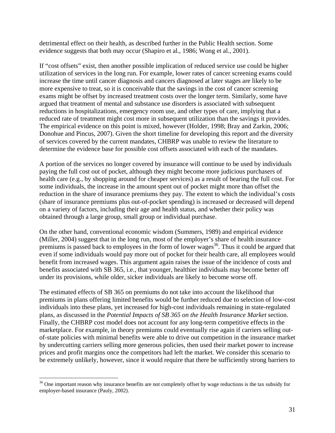detrimental effect on their health, as described further in the Public Health section. Some evidence suggests that both may occur (Shapiro et al., 1986; Wong et al., 2001).

If "cost offsets" exist, then another possible implication of reduced service use could be higher utilization of services in the long run. For example, lower rates of cancer screening exams could increase the time until cancer diagnosis and cancers diagnosed at later stages are likely to be more expensive to treat, so it is conceivable that the savings in the cost of cancer screening exams might be offset by increased treatment costs over the longer term. Similarly, some have argued that treatment of mental and substance use disorders is associated with subsequent reductions in hospitalizations, emergency room use, and other types of care, implying that a reduced rate of treatment might cost more in subsequent utilization than the savings it provides. The empirical evidence on this point is mixed, however (Holder, 1998; Bray and Zarkin, 2006; Donohue and Pincus, 2007). Given the short timeline for developing this report and the diversity of services covered by the current mandates, CHBRP was unable to review the literature to determine the evidence base for possible cost offsets associated with each of the mandates.

A portion of the services no longer covered by insurance will continue to be used by individuals paying the full cost out of pocket, although they might become more judicious purchasers of health care (e.g., by shopping around for cheaper services) as a result of bearing the full cost. For some individuals, the increase in the amount spent out of pocket might more than offset the reduction in the share of insurance premiums they pay. The extent to which the individual's costs (share of insurance premiums plus out-of-pocket spending) is increased or decreased will depend on a variety of factors, including their age and health status, and whether their policy was obtained through a large group, small group or individual purchase.

On the other hand, conventional economic wisdom (Summers, 1989) and empirical evidence (Miller, 2004) suggest that in the long run, most of the employer's share of health insurance premiums is passed back to employees in the form of lower wages<sup>36</sup>. Thus it could be argued that even if some individuals would pay more out of pocket for their health care, all employees would benefit from increased wages. This argument again raises the issue of the incidence of costs and benefits associated with SB 365, i.e., that younger, healthier individuals may become better off under its provisions, while older, sicker individuals are likely to become worse off.

The estimated effects of SB 365 on premiums do not take into account the likelihood that premiums in plans offering limited benefits would be further reduced due to selection of low-cost individuals into these plans, yet increased for high-cost individuals remaining in state-regulated plans, as discussed in the *Potential Impacts of SB 365 on the Health Insurance Market* section. Finally, the CHBRP cost model does not account for any long-term competitive effects in the marketplace. For example, in theory premiums could eventually rise again if carriers selling outof-state policies with minimal benefits were able to drive out competition in the insurance market by undercutting carriers selling more generous policies, then used their market power to increase prices and profit margins once the competitors had left the market. We consider this scenario to be extremely unlikely, however, since it would require that there be sufficiently strong barriers to

<sup>&</sup>lt;sup>36</sup> One important reason why insurance benefits are not completely offset by wage reductions is the tax subsidy for employer-based insurance (Pauly, 2002).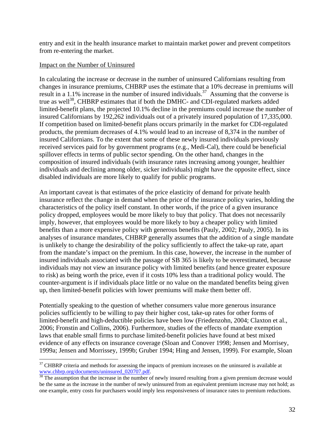entry and exit in the health insurance market to maintain market power and prevent competitors from re-entering the market.

## Impact on the Number of Uninsured

 $\overline{a}$ 

In calculating the increase or decrease in the number of uninsured Californians resulting from changes in insurance premiums, CHBRP uses the estimate that a 10% decrease in premiums will result in a 1.1% increase in the number of insured individuals.<sup>37</sup> Assuming that the converse is true as well<sup>38</sup>, CHBRP estimates that if both the DMHC- and CDI-regulated markets added limited-benefit plans, the projected 10.1% decline in the premiums could increase the number of insured Californians by 192,262 individuals out of a privately insured population of 17,335,000. If competition based on limited-benefit plans occurs primarily in the market for CDI-regulated products, the premium decreases of 4.1% would lead to an increase of 8,374 in the number of insured Californians. To the extent that some of these newly insured individuals previously received services paid for by government programs (e.g., Medi-Cal), there could be beneficial spillover effects in terms of public sector spending. On the other hand, changes in the composition of insured individuals (with insurance rates increasing among younger, healthier individuals and declining among older, sicker individuals) might have the opposite effect, since disabled individuals are more likely to qualify for public programs.

An important caveat is that estimates of the price elasticity of demand for private health insurance reflect the change in demand when the price of the insurance policy varies, holding the characteristics of the policy itself constant. In other words, if the price of a given insurance policy dropped, employees would be more likely to buy that policy. That does not necessarily imply, however, that employees would be more likely to buy a cheaper policy with limited benefits than a more expensive policy with generous benefits (Pauly, 2002; Pauly, 2005). In its analyses of insurance mandates, CHBRP generally assumes that the addition of a single mandate is unlikely to change the desirability of the policy sufficiently to affect the take-up rate, apart from the mandate's impact on the premium. In this case, however, the increase in the number of insured individuals associated with the passage of SB 365 is likely to be overestimated, because individuals may not view an insurance policy with limited benefits (and hence greater exposure to risk) as being worth the price, even if it costs 10% less than a traditional policy would. The counter-argument is if individuals place little or no value on the mandated benefits being given up, then limited-benefit policies with lower premiums will make them better off.

Potentially speaking to the question of whether consumers value more generous insurance policies sufficiently to be willing to pay their higher cost, take-up rates for other forms of limited-benefit and high-deductible policies have been low (Friedenzohn, 2004; Claxton et al., 2006; Fronstin and Collins, 2006). Furthermore, studies of the effects of mandate exemption laws that enable small firms to purchase limited-benefit policies have found at best mixed evidence of any effects on insurance coverage (Sloan and Conover 1998; Jensen and Morrisey, 1999a; Jensen and Morrissey, 1999b; Gruber 1994; Hing and Jensen, 1999). For example, Sloan

 $37$  CHBRP criteria and methods for assessing the impacts of premium increases on the uninsured is available at www.chbrp.org/documents/uninsured\_020707.pdf.  $\frac{38}{38}$  The assumption that the increase in the number of newly insured resulting from a given premium decrease would

be the same as the increase in the number of newly uninsured from an equivalent premium increase may not hold; as one example, entry costs for purchasers would imply less responsiveness of insurance rates to premium reductions.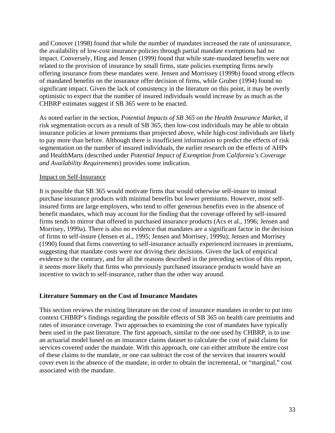and Conover (1998) found that while the number of mandates increased the rate of uninsurance, the availability of low-cost insurance policies through partial mandate exemptions had no impact. Conversely, Hing and Jensen (1999) found that while state-mandated benefits were not related to the provision of insurance by small firms, state policies exempting firms newly offering insurance from these mandates were. Jensen and Morrissey (1999b) found strong effects of mandated benefits on the insurance offer decision of firms, while Gruber (1994) found no significant impact. Given the lack of consistency in the literature on this point, it may be overly optimistic to expect that the number of insured individuals would increase by as much as the CHBRP estimates suggest if SB 365 were to be enacted.

As noted earlier in the section, *Potential Impacts of SB 365 on the Health Insurance Marke*t, if risk segmentation occurs as a result of SB 365, then low-cost individuals may be able to obtain insurance policies at lower premiums than projected above, while high-cost individuals are likely to pay more than before. Although there is insufficient information to predict the effects of risk segmentation on the number of insured individuals, the earlier research on the effects of AHPs and HealthMarts (described under *Potential Impact of Exemption from California's Coverage and Availability Requirements*) provides some indication.

## Impact on Self-Insurance

It is possible that SB 365 would motivate firms that would otherwise self-insure to instead purchase insurance products with minimal benefits but lower premiums. However, most selfinsured firms are large employers, who tend to offer generous benefits even in the absence of benefit mandates, which may account for the finding that the coverage offered by self-insured firms tends to mirror that offered in purchased insurance products (Acs et al., 1996; Jensen and Morrisey, 1999a). There is also no evidence that mandates are a significant factor in the decision of firms to self-insure (Jensen et al., 1995; Jensen and Morrisey, 1999a); Jensen and Morrisey (1990) found that firms converting to self-insurance actually experienced increases in premiums, suggesting that mandate costs were not driving their decisions. Given the lack of empirical evidence to the contrary, and for all the reasons described in the preceding section of this report, it seems more likely that firms who previously purchased insurance products would have an incentive to switch to self-insurance, rather than the other way around.

## **Literature Summary on the Cost of Insurance Mandates**

This section reviews the existing literature on the cost of insurance mandates in order to put into context CHBRP's findings regarding the possible effects of SB 365 on health care premiums and rates of insurance coverage. Two approaches to examining the cost of mandates have typically been used in the past literature. The first approach, similar to the one used by CHBRP, is to use an actuarial model based on an insurance claims dataset to calculate the cost of paid claims for services covered under the mandate. With this approach, one can either attribute the entire cost of these claims to the mandate, or one can subtract the cost of the services that insurers would cover even in the absence of the mandate, in order to obtain the incremental, or "marginal," cost associated with the mandate.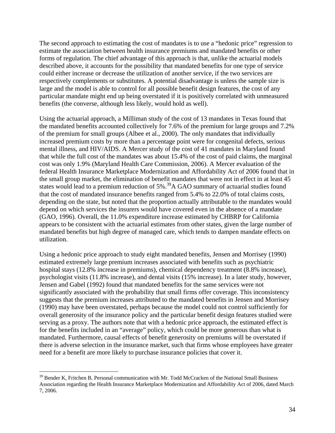The second approach to estimating the cost of mandates is to use a "hedonic price" regression to estimate the association between health insurance premiums and mandated benefits or other forms of regulation. The chief advantage of this approach is that, unlike the actuarial models described above, it accounts for the possibility that mandated benefits for one type of service could either increase or decrease the utilization of another service, if the two services are respectively complements or substitutes. A potential disadvantage is unless the sample size is large and the model is able to control for all possible benefit design features, the cost of any particular mandate might end up being overstated if it is positively correlated with unmeasured benefits (the converse, although less likely, would hold as well).

Using the actuarial approach, a Milliman study of the cost of 13 mandates in Texas found that the mandated benefits accounted collectively for 7.6% of the premium for large groups and 7.2% of the premium for small groups (Albee et al., 2000). The only mandates that individually increased premium costs by more than a percentage point were for congenital defects, serious mental illness, and HIV/AIDS. A Mercer study of the cost of 41 mandates in Maryland found that while the full cost of the mandates was about 15.4% of the cost of paid claims, the marginal cost was only 1.9% (Maryland Health Care Commission, 2006). A Mercer evaluation of the federal Health Insurance Marketplace Modernization and Affordability Act of 2006 found that in the small group market, the elimination of benefit mandates that were not in effect in at least 45 states would lead to a premium reduction of 5%.<sup>39</sup>A GAO summary of actuarial studies found that the cost of mandated insurance benefits ranged from 5.4% to 22.0% of total claims costs, depending on the state, but noted that the proportion actually attributable to the mandates would depend on which services the insurers would have covered even in the absence of a mandate (GAO, 1996). Overall, the 11.0% expenditure increase estimated by CHBRP for California appears to be consistent with the actuarial estimates from other states, given the large number of mandated benefits but high degree of managed care, which tends to dampen mandate effects on utilization.

Using a hedonic price approach to study eight mandated benefits, Jensen and Morrisey (1990) estimated extremely large premium increases associated with benefits such as psychiatric hospital stays (12.8% increase in premiums), chemical dependency treatment (8.8% increase), psychologist visits (11.8% increase), and dental visits (15% increase). In a later study, however, Jensen and Gabel (1992) found that mandated benefits for the same services were not significantly associated with the probability that small firms offer coverage. This inconsistency suggests that the premium increases attributed to the mandated benefits in Jensen and Morrisey (1990) may have been overstated, perhaps because the model could not control sufficiently for overall generosity of the insurance policy and the particular benefit design features studied were serving as a proxy. The authors note that with a hedonic price approach, the estimated effect is for the benefits included in an "average" policy, which could be more generous than what is mandated. Furthermore, causal effects of benefit generosity on premiums will be overstated if there is adverse selection in the insurance market, such that firms whose employees have greater need for a benefit are more likely to purchase insurance policies that cover it.

<sup>&</sup>lt;sup>39</sup> Bender K, Fritchen B. Personal communication with Mr. Todd McCracken of the National Small Business Association regarding the Health Insurance Marketplace Modernization and Affordability Act of 2006, dated March 7, 2006.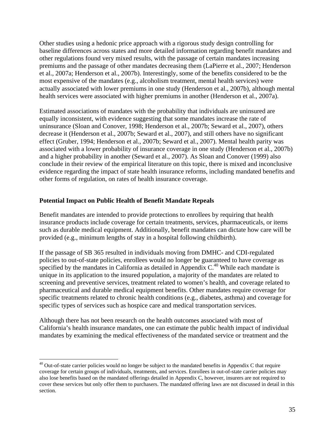Other studies using a hedonic price approach with a rigorous study design controlling for baseline differences across states and more detailed information regarding benefit mandates and other regulations found very mixed results, with the passage of certain mandates increasing premiums and the passage of other mandates decreasing them (LaPierre et al., 2007; Henderson et al., 2007a; Henderson et al., 2007b). Interestingly, some of the benefits considered to be the most expensive of the mandates (e.g., alcoholism treatment, mental health services) were actually associated with lower premiums in one study (Henderson et al., 2007b), although mental health services were associated with higher premiums in another (Henderson et al., 2007a).

Estimated associations of mandates with the probability that individuals are uninsured are equally inconsistent, with evidence suggesting that some mandates increase the rate of uninsurance (Sloan and Conover, 1998; Henderson et al., 2007b; Seward et al., 2007), others decrease it (Henderson et al., 2007b; Seward et al., 2007), and still others have no significant effect (Gruber, 1994; Henderson et al., 2007b; Seward et al., 2007). Mental health parity was associated with a lower probability of insurance coverage in one study (Henderson et al., 2007b) and a higher probability in another (Seward et al., 2007). As Sloan and Conover (1999) also conclude in their review of the empirical literature on this topic, there is mixed and inconclusive evidence regarding the impact of state health insurance reforms, including mandated benefits and other forms of regulation, on rates of health insurance coverage.

## **Potential Impact on Public Health of Benefit Mandate Repeals**

 $\overline{a}$ 

Benefit mandates are intended to provide protections to enrollees by requiring that health insurance products include coverage for certain treatments, services, pharmaceuticals, or items such as durable medical equipment. Additionally, benefit mandates can dictate how care will be provided (e.g., minimum lengths of stay in a hospital following childbirth).

If the passage of SB 365 resulted in individuals moving from DMHC- and CDI-regulated policies to out-of-state policies, enrollees would no longer be guaranteed to have coverage as specified by the mandates in California as detailed in Appendix  $C<sup>40</sup>$  While each mandate is unique in its application to the insured population, a majority of the mandates are related to screening and preventive services, treatment related to women's health, and coverage related to pharmaceutical and durable medical equipment benefits. Other mandates require coverage for specific treatments related to chronic health conditions (e.g., diabetes, asthma) and coverage for specific types of services such as hospice care and medical transportation services.

Although there has not been research on the health outcomes associated with most of California's health insurance mandates, one can estimate the public health impact of individual mandates by examining the medical effectiveness of the mandated service or treatment and the

<sup>&</sup>lt;sup>40</sup> Out-of-state carrier policies would no longer be subject to the mandated benefits in Appendix C that require coverage for certain groups of individuals, treatments, and services. Enrollees in out-of-state carrier policies may also lose benefits based on the mandated offerings detailed in Appendix C, however, insurers are not required to cover these services but only offer them to purchasers. The mandated offering laws are not discussed in detail in this section.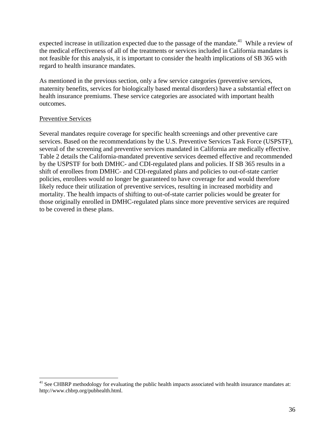expected increase in utilization expected due to the passage of the mandate.<sup>41</sup> While a review of the medical effectiveness of all of the treatments or services included in California mandates is not feasible for this analysis, it is important to consider the health implications of SB 365 with regard to health insurance mandates.

As mentioned in the previous section, only a few service categories (preventive services, maternity benefits, services for biologically based mental disorders) have a substantial effect on health insurance premiums. These service categories are associated with important health outcomes.

## Preventive Services

 $\overline{a}$ 

Several mandates require coverage for specific health screenings and other preventive care services. Based on the recommendations by the U.S. Preventive Services Task Force (USPSTF), several of the screening and preventive services mandated in California are medically effective. Table 2 details the California-mandated preventive services deemed effective and recommended by the USPSTF for both DMHC- and CDI-regulated plans and policies. If SB 365 results in a shift of enrollees from DMHC- and CDI-regulated plans and policies to out-of-state carrier policies, enrollees would no longer be guaranteed to have coverage for and would therefore likely reduce their utilization of preventive services, resulting in increased morbidity and mortality. The health impacts of shifting to out-of-state carrier policies would be greater for those originally enrolled in DMHC-regulated plans since more preventive services are required to be covered in these plans.

 $41$  See CHBRP methodology for evaluating the public health impacts associated with health insurance mandates at: http://www.chbrp.org/pubhealth.html.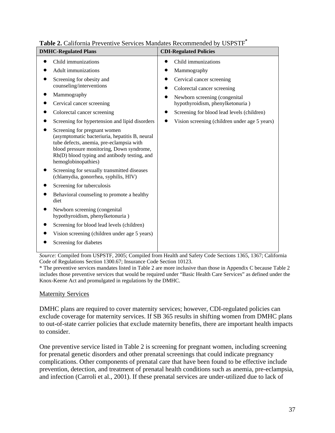| <b>DMHC-Regulated Plans</b>                                                                                                                                                                                                                    | <b>CDI-Regulated Policies</b>                                     |
|------------------------------------------------------------------------------------------------------------------------------------------------------------------------------------------------------------------------------------------------|-------------------------------------------------------------------|
| Child immunizations                                                                                                                                                                                                                            | Child immunizations                                               |
| <b>Adult</b> immunizations                                                                                                                                                                                                                     | Mammography                                                       |
| Screening for obesity and<br>counseling/interventions                                                                                                                                                                                          | Cervical cancer screening                                         |
| Mammography                                                                                                                                                                                                                                    | Colorectal cancer screening                                       |
| Cervical cancer screening                                                                                                                                                                                                                      | Newborn screening (congenital<br>hypothyroidism, phenylketonuria) |
| Colorectal cancer screening                                                                                                                                                                                                                    | Screening for blood lead levels (children)                        |
| Screening for hypertension and lipid disorders                                                                                                                                                                                                 | Vision screening (children under age 5 years)<br>$\bullet$        |
| Screening for pregnant women<br>(asymptomatic bacteriuria, hepatitis B, neural<br>tube defects, anemia, pre-eclampsia with<br>blood pressure monitoring, Down syndrome,<br>Rh(D) blood typing and antibody testing, and<br>hemoglobinopathies) |                                                                   |
| Screening for sexually transmitted diseases<br>(chlamydia, gonorrhea, syphilis, HIV)                                                                                                                                                           |                                                                   |
| Screening for tuberculosis                                                                                                                                                                                                                     |                                                                   |
| Behavioral counseling to promote a healthy<br>diet                                                                                                                                                                                             |                                                                   |
| Newborn screening (congenital<br>hypothyroidism, phenylketonuria)                                                                                                                                                                              |                                                                   |
| Screening for blood lead levels (children)                                                                                                                                                                                                     |                                                                   |
| Vision screening (children under age 5 years)                                                                                                                                                                                                  |                                                                   |
| Screening for diabetes                                                                                                                                                                                                                         |                                                                   |

**Table 2.** California Preventive Services Mandates Recommended by USPSTF**\***

*Source:* Compiled from USPSTF, 2005; Compiled from Health and Safety Code Sections 1365, 1367; California Code of Regulations Section 1300.67; Insurance Code Section 10123.

\* The preventive services mandates listed in Table 2 are more inclusive than those in Appendix C because Table 2 includes those preventive services that would be required under "Basic Health Care Services" as defined under the Knox-Keene Act and promulgated in regulations by the DMHC.

## Maternity Services

DMHC plans are required to cover maternity services; however, CDI-regulated policies can exclude coverage for maternity services. If SB 365 results in shifting women from DMHC plans to out-of-state carrier policies that exclude maternity benefits, there are important health impacts to consider.

One preventive service listed in Table 2 is screening for pregnant women, including screening for prenatal genetic disorders and other prenatal screenings that could indicate pregnancy complications. Other components of prenatal care that have been found to be effective include prevention, detection, and treatment of prenatal health conditions such as anemia, pre-eclampsia, and infection (Carroli et al., 2001). If these prenatal services are under-utilized due to lack of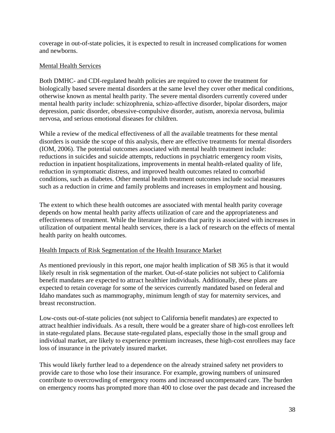coverage in out-of-state policies, it is expected to result in increased complications for women and newborns.

## Mental Health Services

Both DMHC- and CDI-regulated health policies are required to cover the treatment for biologically based severe mental disorders at the same level they cover other medical conditions, otherwise known as mental health parity. The severe mental disorders currently covered under mental health parity include: schizophrenia, schizo-affective disorder, bipolar disorders, major depression, panic disorder, obsessive-compulsive disorder, autism, anorexia nervosa, bulimia nervosa, and serious emotional diseases for children.

While a review of the medical effectiveness of all the available treatments for these mental disorders is outside the scope of this analysis, there are effective treatments for mental disorders (IOM, 2006). The potential outcomes associated with mental health treatment include: reductions in suicides and suicide attempts, reductions in psychiatric emergency room visits, reduction in inpatient hospitalizations, improvements in mental health-related quality of life, reduction in symptomatic distress, and improved health outcomes related to comorbid conditions, such as diabetes. Other mental health treatment outcomes include social measures such as a reduction in crime and family problems and increases in employment and housing.

The extent to which these health outcomes are associated with mental health parity coverage depends on how mental health parity affects utilization of care and the appropriateness and effectiveness of treatment. While the literature indicates that parity is associated with increases in utilization of outpatient mental health services, there is a lack of research on the effects of mental health parity on health outcomes.

## Health Impacts of Risk Segmentation of the Health Insurance Market

As mentioned previously in this report, one major health implication of SB 365 is that it would likely result in risk segmentation of the market. Out-of-state policies not subject to California benefit mandates are expected to attract healthier individuals. Additionally, these plans are expected to retain coverage for some of the services currently mandated based on federal and Idaho mandates such as mammography, minimum length of stay for maternity services, and breast reconstruction.

Low-costs out-of-state policies (not subject to California benefit mandates) are expected to attract healthier individuals. As a result, there would be a greater share of high-cost enrollees left in state-regulated plans. Because state-regulated plans, especially those in the small group and individual market, are likely to experience premium increases, these high-cost enrollees may face loss of insurance in the privately insured market.

This would likely further lead to a dependence on the already strained safety net providers to provide care to those who lose their insurance. For example, growing numbers of uninsured contribute to overcrowding of emergency rooms and increased uncompensated care. The burden on emergency rooms has prompted more than 400 to close over the past decade and increased the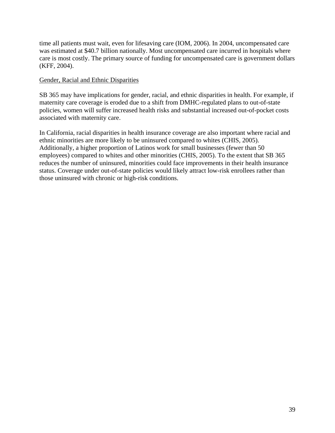time all patients must wait, even for lifesaving care (IOM, 2006). In 2004, uncompensated care was estimated at \$40.7 billion nationally. Most uncompensated care incurred in hospitals where care is most costly. The primary source of funding for uncompensated care is government dollars (KFF, 2004).

## Gender, Racial and Ethnic Disparities

SB 365 may have implications for gender, racial, and ethnic disparities in health. For example, if maternity care coverage is eroded due to a shift from DMHC-regulated plans to out-of-state policies, women will suffer increased health risks and substantial increased out-of-pocket costs associated with maternity care.

In California, racial disparities in health insurance coverage are also important where racial and ethnic minorities are more likely to be uninsured compared to whites (CHIS, 2005). Additionally, a higher proportion of Latinos work for small businesses (fewer than 50 employees) compared to whites and other minorities (CHIS, 2005). To the extent that SB 365 reduces the number of uninsured, minorities could face improvements in their health insurance status. Coverage under out-of-state policies would likely attract low-risk enrollees rather than those uninsured with chronic or high-risk conditions.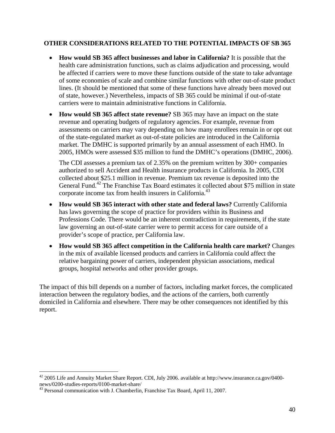## **OTHER CONSIDERATIONS RELATED TO THE POTENTIAL IMPACTS OF SB 365**

- **How would SB 365 affect businesses and labor in California?** It is possible that the health care administration functions, such as claims adjudication and processing, would be affected if carriers were to move these functions outside of the state to take advantage of some economies of scale and combine similar functions with other out-of-state product lines. (It should be mentioned that some of these functions have already been moved out of state, however.) Nevertheless, impacts of SB 365 could be minimal if out-of-state carriers were to maintain administrative functions in California.
- **How would SB 365 affect state revenue?** SB 365 may have an impact on the state revenue and operating budgets of regulatory agencies. For example, revenue from assessments on carriers may vary depending on how many enrollees remain in or opt out of the state-regulated market as out-of-state policies are introduced in the California market. The DMHC is supported primarily by an annual assessment of each HMO. In 2005, HMOs were assessed \$35 million to fund the DMHC's operations (DMHC, 2006).

The CDI assesses a premium tax of 2.35% on the premium written by 300+ companies authorized to sell Accident and Health insurance products in California. In 2005, CDI collected about \$25.1 million in revenue. Premium tax revenue is deposited into the General Fund.<sup>42</sup> The Franchise Tax Board estimates it collected about \$75 million in state corporate income tax from health insurers in California.<sup>43</sup>

- **How would SB 365 interact with other state and federal laws?** Currently California has laws governing the scope of practice for providers within its Business and Professions Code. There would be an inherent contradiction in requirements, if the state law governing an out-of-state carrier were to permit access for care outside of a provider's scope of practice, per California law.
- **How would SB 365 affect competition in the California health care market?** Changes in the mix of available licensed products and carriers in California could affect the relative bargaining power of carriers, independent physician associations, medical groups, hospital networks and other provider groups.

The impact of this bill depends on a number of factors, including market forces, the complicated interaction between the regulatory bodies, and the actions of the carriers, both currently domiciled in California and elsewhere. There may be other consequences not identified by this report.

<sup>42 2005</sup> Life and Annuity Market Share Report. CDI, July 2006. available at http://www.insurance.ca.gov/0400 news/0200-studies-reports/0100-market-share/

<sup>&</sup>lt;sup>43</sup> Personal communication with J. Chamberlin, Franchise Tax Board, April 11, 2007.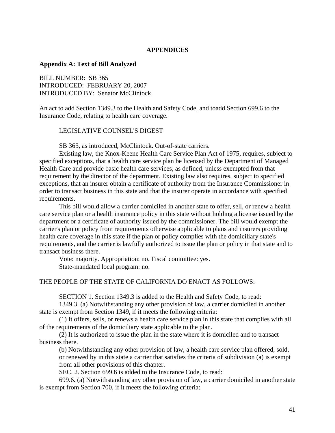#### **APPENDICES**

#### **Appendix A: Text of Bill Analyzed**

BILL NUMBER: SB 365 INTRODUCED: FEBRUARY 20, 2007 INTRODUCED BY: Senator McClintock

An act to add Section 1349.3 to the Health and Safety Code, and toadd Section 699.6 to the Insurance Code, relating to health care coverage.

#### LEGISLATIVE COUNSEL'S DIGEST

SB 365, as introduced, McClintock. Out-of-state carriers.

Existing law, the Knox-Keene Health Care Service Plan Act of 1975, requires, subject to specified exceptions, that a health care service plan be licensed by the Department of Managed Health Care and provide basic health care services, as defined, unless exempted from that requirement by the director of the department. Existing law also requires, subject to specified exceptions, that an insurer obtain a certificate of authority from the Insurance Commissioner in order to transact business in this state and that the insurer operate in accordance with specified requirements.

This bill would allow a carrier domiciled in another state to offer, sell, or renew a health care service plan or a health insurance policy in this state without holding a license issued by the department or a certificate of authority issued by the commissioner. The bill would exempt the carrier's plan or policy from requirements otherwise applicable to plans and insurers providing health care coverage in this state if the plan or policy complies with the domiciliary state's requirements, and the carrier is lawfully authorized to issue the plan or policy in that state and to transact business there.

Vote: majority. Appropriation: no. Fiscal committee: yes. State-mandated local program: no.

## THE PEOPLE OF THE STATE OF CALIFORNIA DO ENACT AS FOLLOWS:

SECTION 1. Section 1349.3 is added to the Health and Safety Code, to read:

1349.3. (a) Notwithstanding any other provision of law, a carrier domiciled in another state is exempt from Section 1349, if it meets the following criteria:

(1) It offers, sells, or renews a health care service plan in this state that complies with all of the requirements of the domiciliary state applicable to the plan.

(2) It is authorized to issue the plan in the state where it is domiciled and to transact business there.

(b) Notwithstanding any other provision of law, a health care service plan offered, sold, or renewed by in this state a carrier that satisfies the criteria of subdivision (a) is exempt from all other provisions of this chapter.

SEC. 2. Section 699.6 is added to the Insurance Code, to read:

699.6. (a) Notwithstanding any other provision of law, a carrier domiciled in another state is exempt from Section 700, if it meets the following criteria: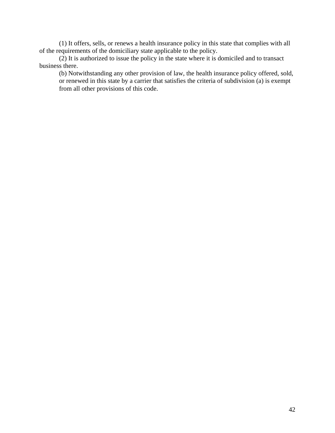(1) It offers, sells, or renews a health insurance policy in this state that complies with all of the requirements of the domiciliary state applicable to the policy.

(2) It is authorized to issue the policy in the state where it is domiciled and to transact business there.

(b) Notwithstanding any other provision of law, the health insurance policy offered, sold, or renewed in this state by a carrier that satisfies the criteria of subdivision (a) is exempt from all other provisions of this code.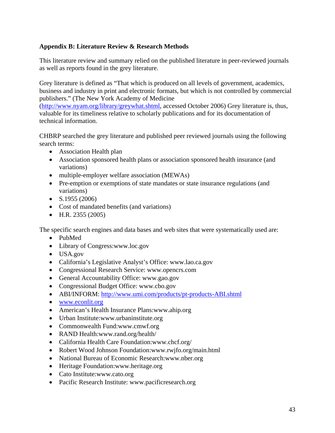# **Appendix B: Literature Review & Research Methods**

This literature review and summary relied on the published literature in peer-reviewed journals as well as reports found in the grey literature.

Grey literature is defined as "That which is produced on all levels of government, academics, business and industry in print and electronic formats, but which is not controlled by commercial publishers." (The New York Academy of Medicine

(http://www.nyam.org/library/greywhat.shtml, accessed October 2006) Grey literature is, thus, valuable for its timeliness relative to scholarly publications and for its documentation of technical information.

CHBRP searched the grey literature and published peer reviewed journals using the following search terms:

- Association Health plan
- Association sponsored health plans or association sponsored health insurance (and variations)
- multiple-employer welfare association (MEWAs)
- Pre-emption or exemptions of state mandates or state insurance regulations (and variations)
- $S.1955(2006)$
- Cost of mandated benefits (and variations)
- H.R. 2355 (2005)

The specific search engines and data bases and web sites that were systematically used are:

- PubMed
- Library of Congress:www.loc.gov
- USA.gov
- California's Legislative Analyst's Office: www.lao.ca.gov
- Congressional Research Service: www.opencrs.com
- General Accountability Office: www.gao.gov
- Congressional Budget Office: www.cbo.gov
- ABI/INFORM: http://www.umi.com/products/pt-products-ABI.shtml
- www.econlit.org
- American's Health Insurance Plans:www.ahip.org
- Urban Institute:www.urbaninstitute.org
- Commonwealth Fund:www.cmwf.org
- RAND Health:www.rand.org/health/
- California Health Care Foundation:www.chcf.org/
- Robert Wood Johnson Foundation:www.rwjfo.org/main.html
- National Bureau of Economic Research:www.nber.org
- Heritage Foundation:www.heritage.org
- Cato Institute:www.cato.org
- Pacific Research Institute: www.pacificresearch.org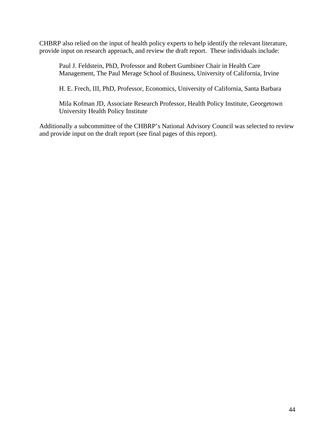CHBRP also relied on the input of health policy experts to help identify the relevant literature, provide input on research approach, and review the draft report. These individuals include:

Paul J. Feldstein, PhD, Professor and Robert Gumbiner Chair in Health Care Management, The Paul Merage School of Business, University of California, Irvine

H. E. Frech, III, PhD, Professor, Economics, University of California, Santa Barbara

Mila Kofman JD, Associate Research Professor, Health Policy Institute, Georgetown University Health Policy Institute

Additionally a subcommittee of the CHBRP's National Advisory Council was selected to review and provide input on the draft report (see final pages of this report).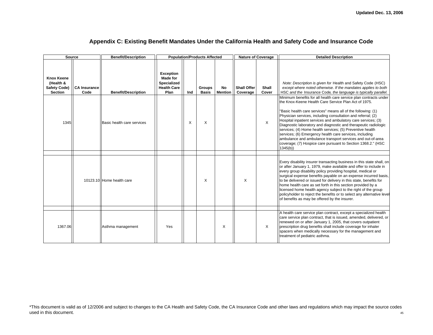| <b>Source</b>                                                           |                             | <b>Benefit/Description</b> | <b>Population/Products Affected</b>                                                            |                               |                      |                                | <b>Nature of Coverage</b> | <b>Detailed Description</b>                                                                                                                                                                                                                                                                                                                                                                                                                                                                                                                                                                                                                                    |
|-------------------------------------------------------------------------|-----------------------------|----------------------------|------------------------------------------------------------------------------------------------|-------------------------------|----------------------|--------------------------------|---------------------------|----------------------------------------------------------------------------------------------------------------------------------------------------------------------------------------------------------------------------------------------------------------------------------------------------------------------------------------------------------------------------------------------------------------------------------------------------------------------------------------------------------------------------------------------------------------------------------------------------------------------------------------------------------------|
| <b>Knox Keene</b><br>(Health &<br><b>Safety Code)</b><br><b>Section</b> | <b>CA Insurance</b><br>Code | <b>Benefit/Description</b> | <b>Exception</b><br><b>Made for</b><br><b>Specialized</b><br><b>Health Care</b><br>Plan<br>Ind | <b>Groups</b><br><b>Basis</b> | No<br><b>Mention</b> | <b>Shall Offer</b><br>Coverage | Shall<br>Cover            | Note: Description is given for Health and Safety Code (HSC)<br>except where noted otherwise. If the mandates applies to both<br>HSC and the Insurance Code, the language is typically parallel.                                                                                                                                                                                                                                                                                                                                                                                                                                                                |
| 1345                                                                    |                             | Basic health care services | X                                                                                              | X                             |                      |                                | X                         | Minimum benefits for all health care service plan contracts under<br>the Knox-Keene Health Care Service Plan Act of 1975.<br>"Basic health care services" means all of the following: (1)<br>Physician services, including consultation and referral; (2)<br>Hospital inpatient services and ambulatory care services; (3)<br>Diagnostic laboratory and diagnostic and therapeutic radiologic<br>services; (4) Home health services; (5) Preventive health<br>services; (6) Emergency health care services, including<br>ambulance and ambulance transport services and out-of-area<br>coverage; (7) Hospice care pursuant to Section 1368.2." (HSC<br>1345(b) |
|                                                                         |                             | 10123.10 Home health care  |                                                                                                | X                             |                      | X                              |                           | Every disability insurer transacting business in this state shall, on<br>or after January 1, 1979, make available and offer to include in<br>every group disability policy providing hospital, medical or<br>surgical expense benefits payable on an expense incurred basis,<br>to be delivered or issued for delivery in this state, benefits for<br>home health care as set forth in this section provided by a<br>licensed home health agency subject to the right of the group<br>policyholder to reject the benefits or to select any alternative level<br>of benefits as may be offered by the insurer.                                                  |
| 1367.06                                                                 |                             | Asthma management          | <b>Yes</b>                                                                                     |                               | X                    |                                | X                         | A health care service plan contract, except a specialized health<br>care service plan contract, that is issued, amended, delivered, or<br>renewed on or after January 1, 2005, that covers outpatient<br>prescription drug benefits shall include coverage for inhaler<br>spacers when medically necessary for the management and<br>treatment of pediatric asthma.                                                                                                                                                                                                                                                                                            |

#### **Appendix C: Existing Benefit Mandates Under the California Health and Safety Code and Insurance Code**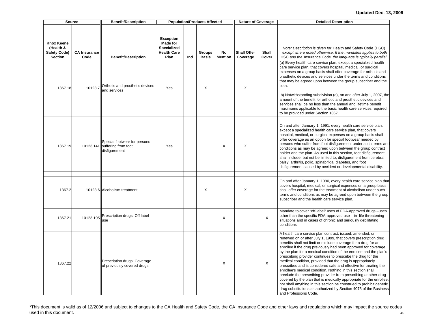| Source                                                           |                             | <b>Benefit/Description</b>                                           |                                                                                  |     | <b>Population/Products Affected</b> |                      |                                | <b>Nature of Coverage</b> | <b>Detailed Description</b>                                                                                                                                                                                                                                                                                                                                                                                                                                                                                                                                                                                                                                                                                                                                                                                                                                                                                         |
|------------------------------------------------------------------|-----------------------------|----------------------------------------------------------------------|----------------------------------------------------------------------------------|-----|-------------------------------------|----------------------|--------------------------------|---------------------------|---------------------------------------------------------------------------------------------------------------------------------------------------------------------------------------------------------------------------------------------------------------------------------------------------------------------------------------------------------------------------------------------------------------------------------------------------------------------------------------------------------------------------------------------------------------------------------------------------------------------------------------------------------------------------------------------------------------------------------------------------------------------------------------------------------------------------------------------------------------------------------------------------------------------|
| <b>Knox Keene</b><br>(Health &<br>Safety Code)<br><b>Section</b> | <b>CA Insurance</b><br>Code | <b>Benefit/Description</b>                                           | <b>Exception</b><br>Made for<br><b>Specialized</b><br><b>Health Care</b><br>Plan | Ind | <b>Groups</b><br><b>Basis</b>       | No<br><b>Mention</b> | <b>Shall Offer</b><br>Coverage | Shall<br>Cover            | Note: Description is given for Health and Safety Code (HSC)<br>except where noted otherwise. If the mandates applies to both<br>HSC and the Insurance Code, the language is typically parallel.                                                                                                                                                                                                                                                                                                                                                                                                                                                                                                                                                                                                                                                                                                                     |
| 1367.18                                                          | 10123.7                     | Orthotic and prosthetic devices<br>and services                      | Yes                                                                              |     | X                                   |                      | X                              |                           | (a) Every health care service plan, except a specialized health<br>care service plan, that covers hospital, medical, or surgical<br>expenses on a group basis shall offer coverage for orthotic and<br>prosthetic devices and services under the terms and conditions<br>that may be agreed upon between the group subscriber and the<br>plan.<br>b) Notwithstanding subdivision (a), on and after July 1, 2007, the<br>amount of the benefit for orthotic and prosthetic devices and<br>services shall be no less than the annual and lifetime benefit<br>maximums applicable to the basic health care services required<br>to be provided under Section 1367.                                                                                                                                                                                                                                                     |
| 1367.19                                                          | 10123.141                   | Special footwear for persons<br>suffering from foot<br>disfigurement | Yes                                                                              |     |                                     | X                    | X                              |                           | On and after January 1, 1991, every health care service plan,<br>except a specialized health care service plan, that covers<br>hospital, medical, or surgical expenses on a group basis shall<br>offer coverage as an option for special footwear needed by<br>persons who suffer from foot disfigurement under such terms and<br>conditions as may be agreed upon between the group contract<br>holder and the plan. As used in this section, foot disfigurement<br>shall include, but not be limited to, disfigurement from cerebral<br>palsy, arthritis, polio, spinabifida, diabetes, and foot<br>disfigurement caused by accident or developmental disability.                                                                                                                                                                                                                                                 |
| 1367.2                                                           |                             | 10123.6 Alcoholism treatment                                         |                                                                                  |     | X                                   |                      | X                              |                           | On and after January 1, 1990, every health care service plan that<br>covers hospital, medical, or surgical expenses on a group basis<br>shall offer coverage for the treatment of alcoholism under such<br>terms and conditions as may be agreed upon between the group<br>subscriber and the health care service plan.                                                                                                                                                                                                                                                                                                                                                                                                                                                                                                                                                                                             |
| 1367.21                                                          | 10123.195                   | Prescription drugs: Off label<br>use                                 |                                                                                  |     |                                     | X                    |                                | X                         | Mandate to cover "off-label" uses of FDA-approved drugs -uses<br>other than the specific FDA-approved use - in life threatening<br>situations and in cases of chronic and seriously debilitating<br>conditions                                                                                                                                                                                                                                                                                                                                                                                                                                                                                                                                                                                                                                                                                                      |
| 1367.22                                                          |                             | Prescription drugs: Coverage<br>of previously covered drugs          |                                                                                  |     |                                     | X                    |                                | X                         | A health care service plan contract, issued, amended, or<br>renewed on or after July 1, 1999, that covers prescription drug<br>benefits shall not limit or exclude coverage for a drug for an<br>enrollee if the drug previously had been approved for coverage<br>by the plan for a medical condition of the enrollee and the plan's<br>prescribing provider continues to prescribe the drug for the<br>medical condition, provided that the drug is appropriately<br>prescribed and is considered safe and effective for treating the<br>enrollee's medical condition. Nothing in this section shall<br>preclude the prescribing provider from prescribing another drug<br>covered by the plan that is medically appropriate for the enrollee.<br>nor shall anything in this section be construed to prohibit generic<br>drug substitutions as authorized by Section 4073 of the Business<br>and Professions Code |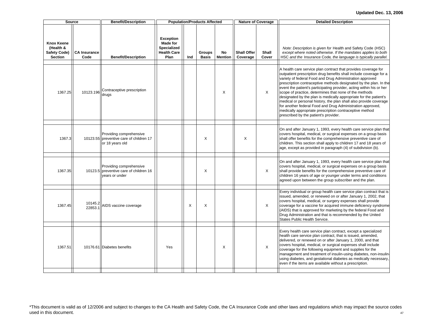|                                                                         | <b>Source</b>               | <b>Benefit/Description</b>                                                            |                                                                                         |     | <b>Population/Products Affected</b> |                      |                                | <b>Nature of Coverage</b> | <b>Detailed Description</b>                                                                                                                                                                                                                                                                                                                                                                                                                                                                                                                                                                                                                                                                                         |
|-------------------------------------------------------------------------|-----------------------------|---------------------------------------------------------------------------------------|-----------------------------------------------------------------------------------------|-----|-------------------------------------|----------------------|--------------------------------|---------------------------|---------------------------------------------------------------------------------------------------------------------------------------------------------------------------------------------------------------------------------------------------------------------------------------------------------------------------------------------------------------------------------------------------------------------------------------------------------------------------------------------------------------------------------------------------------------------------------------------------------------------------------------------------------------------------------------------------------------------|
| <b>Knox Keene</b><br>(Health &<br><b>Safety Code)</b><br><b>Section</b> | <b>CA Insurance</b><br>Code | <b>Benefit/Description</b>                                                            | <b>Exception</b><br><b>Made for</b><br><b>Specialized</b><br><b>Health Care</b><br>Plan | Ind | <b>Groups</b><br><b>Basis</b>       | No<br><b>Mention</b> | <b>Shall Offer</b><br>Coverage | <b>Shall</b><br>Cover     | Note: Description is given for Health and Safety Code (HSC)<br>except where noted otherwise. If the mandates applies to both<br>HSC and the Insurance Code, the language is typically parallel.                                                                                                                                                                                                                                                                                                                                                                                                                                                                                                                     |
| 1367.25                                                                 | 10123.196                   | Contraceptive prescription<br>drugs                                                   |                                                                                         |     |                                     | X                    |                                | $\times$                  | A health care service plan contract that provides coverage for<br>outpatient prescription drug benefits shall include coverage for a<br>variety of federal Food and Drug Administration approved<br>prescription contraceptive methods designated by the plan. In the<br>event the patient's participating provider, acting within his or her<br>scope of practice, determines that none of the methods<br>designated by the plan is medically appropriate for the patient's<br>medical or personal history, the plan shall also provide coverage<br>for another federal Food and Drug Administration approved,<br>medically appropriate prescription contraceptive method<br>prescribed by the patient's provider. |
| 1367.3                                                                  |                             | Providing comprehensive<br>10123.55 preventive care of children 17<br>or 18 years old |                                                                                         |     | X                                   |                      | X                              |                           | On and after January 1, 1993, every health care service plan that<br>covers hospital, medical, or surgical expenses on a group basis<br>shall offer benefits for the comprehensive preventive care of<br>children. This section shall apply to children 17 and 18 years of<br>age, except as provided in paragraph (4) of subdivision (b).                                                                                                                                                                                                                                                                                                                                                                          |
| 1367.35                                                                 |                             | Providing comprehensive<br>10123.5 preventive care of children 16<br>years or under   |                                                                                         |     | X                                   |                      |                                | X                         | On and after January 1, 1993, every health care service plan that<br>covers hospital, medical, or surgical expenses on a group basis<br>shall provide benefits for the comprehensive preventive care of<br>children 16 years of age or younger under terms and conditions<br>agreed upon between the group subscriber and the plan.                                                                                                                                                                                                                                                                                                                                                                                 |
| 1367.45                                                                 | 10145.2<br>22853.1          | AIDS vaccine coverage                                                                 |                                                                                         | X   | X                                   |                      |                                | X                         | Every individual or group health care service plan contract that is<br>issued, amended, or renewed on or after January 1, 2002, that<br>covers hospital, medical, or surgery expenses shall provide<br>coverage for a vaccine for acquired immune deficiency syndrome<br>(AIDS) that is approved for marketing by the federal Food and<br>Drug Administration and that is recommended by the United<br>States Public Health Service.                                                                                                                                                                                                                                                                                |
| 1367.51                                                                 |                             | 10176.61 Diabetes benefits                                                            | Yes                                                                                     |     |                                     | X                    |                                | X                         | Every health care service plan contract, except a specialized<br>health care service plan contract, that is issued, amended,<br>delivered, or renewed on or after January 1, 2000, and that<br>covers hospital, medical, or surgical expenses shall include<br>coverage for the following equipment and supplies for the<br>management and treatment of insulin-using diabetes, non-insulin-<br>using diabetes, and gestational diabetes as medically necessary,<br>even if the items are available without a prescription.                                                                                                                                                                                         |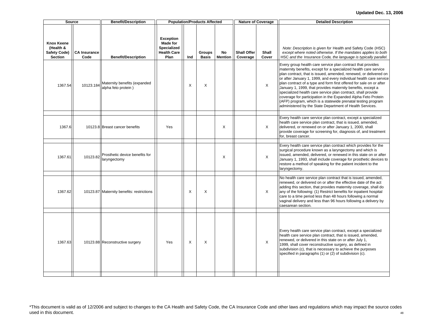| Source                                                                  |                             | <b>Benefit/Description</b>                          |                                                                                         |     | <b>Population/Products Affected</b> |                      |                                | <b>Nature of Coverage</b> | <b>Detailed Description</b>                                                                                                                                                                                                                                                                                                                                                                                                                                                                                                                                                                                                                                                  |
|-------------------------------------------------------------------------|-----------------------------|-----------------------------------------------------|-----------------------------------------------------------------------------------------|-----|-------------------------------------|----------------------|--------------------------------|---------------------------|------------------------------------------------------------------------------------------------------------------------------------------------------------------------------------------------------------------------------------------------------------------------------------------------------------------------------------------------------------------------------------------------------------------------------------------------------------------------------------------------------------------------------------------------------------------------------------------------------------------------------------------------------------------------------|
| <b>Knox Keene</b><br>(Health &<br><b>Safety Code)</b><br><b>Section</b> | <b>CA Insurance</b><br>Code | <b>Benefit/Description</b>                          | <b>Exception</b><br><b>Made for</b><br><b>Specialized</b><br><b>Health Care</b><br>Plan | Ind | <b>Groups</b><br><b>Basis</b>       | No<br><b>Mention</b> | <b>Shall Offer</b><br>Coverage | Shall<br>Cover            | Note: Description is given for Health and Safety Code (HSC)<br>except where noted otherwise. If the mandates applies to both<br>HSC and the Insurance Code, the language is typically parallel.                                                                                                                                                                                                                                                                                                                                                                                                                                                                              |
| 1367.54                                                                 | 10123.184                   | Maternity benefits (expanded<br>alpha feto protein) |                                                                                         | X   | X                                   |                      |                                | $\times$                  | Every group health care service plan contract that provides<br>maternity benefits, except for a specialized health care service<br>plan contract, that is issued, amended, renewed, or delivered on<br>or after January 1, 1999, and every individual health care service<br>plan contract of a type and form first offered for sale on or after<br>January 1, 1999, that provides maternity benefits, except a<br>specialized health care service plan contract, shall provide<br>coverage for participation in the Expanded Alpha Feto Protein<br>(AFP) program, which is a statewide prenatal testing program<br>administered by the State Department of Health Services. |
| 1367.6                                                                  |                             | 10123.8 Breast cancer benefits                      | Yes                                                                                     |     |                                     | X                    |                                | X                         | Every health care service plan contract, except a specialized<br>health care service plan contract, that is issued, amended,<br>delivered, or renewed on or after January 1, 2000, shall<br>provide coverage for screening for, diagnosis of, and treatment<br>for, breast cancer.                                                                                                                                                                                                                                                                                                                                                                                           |
| 1367.61                                                                 | 10123.82                    | Prosthetic device benefits for<br>laryngectomy      |                                                                                         |     |                                     | X                    |                                | X                         | Every health care service plan contract which provides for the<br>surgical procedure known as a laryngectomy and which is<br>issued, amended, delivered, or renewed in this state on or after<br>January 1, 1993, shall include coverage for prosthetic devices to<br>restore a method of speaking for the patient incident to the<br>laryngectomy.                                                                                                                                                                                                                                                                                                                          |
| 1367.62                                                                 |                             | 10123.87 Maternity benefits: restrictions           |                                                                                         | X   | X                                   |                      |                                | $\times$                  | No health care service plan contract that is issued, amended,<br>renewed, or delivered on or after the effective date of the act<br>adding this section, that provides maternity coverage, shall do<br>any of the following: (1) Restrict benefits for inpatient hospital<br>care to a time period less than 48 hours following a normal<br>vaginal delivery and less than 96 hours following a delivery by<br>caesarean section.                                                                                                                                                                                                                                            |
| 1367.63                                                                 |                             | 10123.88 Reconstructive surgery                     | Yes                                                                                     | X   | X                                   |                      |                                | $\mathsf{X}$              | Every health care service plan contract, except a specialized<br>health care service plan contract, that is issued, amended,<br>renewed, or delivered in this state on or after July 1,<br>1999, shall cover reconstructive surgery, as defined in<br>subdivision (c), that is necessary to achieve the purposes<br>specified in paragraphs (1) or (2) of subdivision (c).                                                                                                                                                                                                                                                                                                   |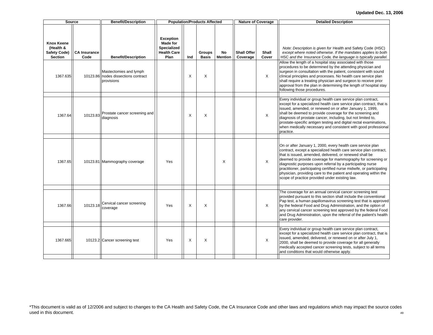#### **Updated Dec. 13, 2006**

| Source                                                                  |                             | <b>Benefit/Description</b>                                         |                                                                                  |     | <b>Population/Products Affected</b> |                      |                                | <b>Nature of Coverage</b> | <b>Detailed Description</b>                                                                                                                                                                                                                                                                                                                                                                                                                                                                                              |
|-------------------------------------------------------------------------|-----------------------------|--------------------------------------------------------------------|----------------------------------------------------------------------------------|-----|-------------------------------------|----------------------|--------------------------------|---------------------------|--------------------------------------------------------------------------------------------------------------------------------------------------------------------------------------------------------------------------------------------------------------------------------------------------------------------------------------------------------------------------------------------------------------------------------------------------------------------------------------------------------------------------|
| <b>Knox Keene</b><br>(Health &<br><b>Safety Code)</b><br><b>Section</b> | <b>CA Insurance</b><br>Code | <b>Benefit/Description</b>                                         | <b>Exception</b><br>Made for<br><b>Specialized</b><br><b>Health Care</b><br>Plan | Ind | <b>Groups</b><br><b>Basis</b>       | No<br><b>Mention</b> | <b>Shall Offer</b><br>Coverage | Shall<br>Cover            | Note: Description is given for Health and Safety Code (HSC)<br>except where noted otherwise. If the mandates applies to both<br>HSC and the Insurance Code, the language is typically parallel.                                                                                                                                                                                                                                                                                                                          |
| 1367.635                                                                | 10123.86                    | Mastectomies and lymph<br>nodes dissections contract<br>provisions |                                                                                  | X   | X                                   |                      |                                | $\times$                  | Allow the length of a hospital stay associated with those<br>procedures to be determined by the attending physician and<br>surgeon in consultation with the patient, consistent with sound<br>clinical principles and processes. No health care service plan<br>shall require a treating physician and surgeon to receive prior<br>approval from the plan in determining the length of hospital stay<br>following those procedures.                                                                                      |
| 1367.64                                                                 | 10123.83                    | Prostate cancer screening and<br>diagnosis                         |                                                                                  | X   | X                                   |                      |                                | X                         | Every individual or group health care service plan contract,<br>except for a specialized health care service plan contract, that is<br>issued, amended, or renewed on or after January 1, 1999,<br>shall be deemed to provide coverage for the screening and<br>diagnosis of prostate cancer, including, but not limited to,<br>prostate-specific antigen testing and digital rectal examinations,<br>when medically necessary and consistent with good professional<br>practice.                                        |
| 1367.65                                                                 |                             | 10123.81 Mammography coverage                                      | Yes                                                                              |     |                                     | X                    |                                | $\times$                  | On or after January 1, 2000, every health care service plan<br>contract, except a specialized health care service plan contract,<br>that is issued, amended, delivered, or renewed shall be<br>deemed to provide coverage for mammography for screening or<br>diagnostic purposes upon referral by a participating nurse<br>practitioner, participating certified nurse midwife, or participating<br>physician, providing care to the patient and operating within the<br>scope of practice provided under existing law. |
| 1367.66                                                                 | 10123.18                    | Cervical cancer screening<br>coverage                              | Yes                                                                              | X   | X                                   |                      |                                | $\times$                  | The coverage for an annual cervical cancer screening test<br>provided pursuant to this section shall include the conventional<br>Pap test, a human papillomavirus screening test that is approved<br>by the federal Food and Drug Administration, and the option of<br>any cervical cancer screening test approved by the federal Food<br>and Drug Administration, upon the referral of the patient's health<br>care provider.                                                                                           |
| 1367.665                                                                |                             | 10123.2 Cancer screening test                                      | Yes                                                                              | X   | X                                   |                      |                                | X                         | Every individual or group health care service plan contract,<br>except for a specialized health care service plan contract, that is<br>issued, amended, delivered, or renewed on or after July 1,<br>2000, shall be deemed to provide coverage for all generally<br>medically accepted cancer screening tests, subject to all terms<br>and conditions that would otherwise apply.                                                                                                                                        |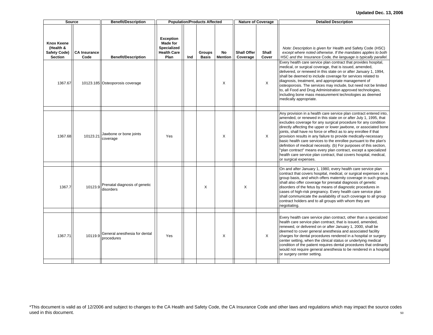#### **Updated Dec. 13, 2006**

| <b>Source</b>                                                    |                             | <b>Benefit/Description</b>                  |                                                                                         |     | <b>Population/Products Affected</b> |                      |                                | <b>Nature of Coverage</b> | <b>Detailed Description</b>                                                                                                                                                                                                                                                                                                                                                                                                                                                                                                                                                                                                                                                                                                      |
|------------------------------------------------------------------|-----------------------------|---------------------------------------------|-----------------------------------------------------------------------------------------|-----|-------------------------------------|----------------------|--------------------------------|---------------------------|----------------------------------------------------------------------------------------------------------------------------------------------------------------------------------------------------------------------------------------------------------------------------------------------------------------------------------------------------------------------------------------------------------------------------------------------------------------------------------------------------------------------------------------------------------------------------------------------------------------------------------------------------------------------------------------------------------------------------------|
| <b>Knox Keene</b><br>(Health &<br>Safety Code)<br><b>Section</b> | <b>CA Insurance</b><br>Code | <b>Benefit/Description</b>                  | <b>Exception</b><br><b>Made for</b><br><b>Specialized</b><br><b>Health Care</b><br>Plan | Ind | <b>Groups</b><br><b>Basis</b>       | No<br><b>Mention</b> | <b>Shall Offer</b><br>Coverage | Shall<br>Cover            | Note: Description is given for Health and Safety Code (HSC)<br>except where noted otherwise. If the mandates applies to both<br>HSC and the Insurance Code, the language is typically parallel.<br>Every health care service plan contract that provides hospital,<br>medical, or surgical coverage, that is issued, amended,                                                                                                                                                                                                                                                                                                                                                                                                    |
| 1367.67                                                          |                             | 10123.185 Osteoporosis coverage             |                                                                                         |     |                                     | X                    |                                | X                         | delivered, or renewed in this state on or after January 1, 1994,<br>shall be deemed to include coverage for services related to<br>diagnosis, treatment, and appropriate management of<br>osteoporosis. The services may include, but need not be limited<br>to, all Food and Drug Administration approved technologies,<br>including bone mass measurement technologies as deemed<br>medically appropriate.                                                                                                                                                                                                                                                                                                                     |
| 1367.68                                                          | 10123.21                    | Jawbone or bone joints<br>coverage          | Yes                                                                                     |     |                                     | X                    |                                | $\times$                  | Any provision in a health care service plan contract entered into,<br>amended, or renewed in this state on or after July 1, 1995, that<br>excludes coverage for any surgical procedure for any condition<br>directly affecting the upper or lower jawbone, or associated bone<br>joints, shall have no force or effect as to any enrollee if that<br>provision results in any failure to provide medically-necessary<br>basic health care services to the enrollee pursuant to the plan's<br>definition of medical necessity. (b) For purposes of this section,<br>"plan contract" means every plan contract, except a specialized<br>health care service plan contract, that covers hospital, medical,<br>or surgical expenses. |
| 1367.7                                                           | 10123.9                     | Prenatal diagnosis of genetic<br>disorders  |                                                                                         |     | X                                   |                      | X                              |                           | On and after January 1, 1980, every health care service plan<br>contract that covers hospital, medical, or surgical expenses on a<br>group basis, and which offers maternity coverage in such groups,<br>shall also offer coverage for prenatal diagnosis of genetic<br>disorders of the fetus by means of diagnostic procedures in<br>cases of high-risk pregnancy. Every health care service plan<br>shall communicate the availability of such coverage to all group<br>contract holders and to all groups with whom they are<br>negotiating.                                                                                                                                                                                 |
| 1367.71                                                          | 10119.9                     | General anesthesia for dental<br>procedures | Yes                                                                                     |     |                                     | X                    |                                | $\times$                  | Every health care service plan contract, other than a specialized<br>health care service plan contract, that is issued, amended,<br>renewed, or delivered on or after January 1, 2000, shall be<br>deemed to cover general anesthesia and associated facility<br>charges for dental procedures rendered in a hospital or surgery<br>center setting, when the clinical status or underlying medical<br>condition of the patient requires dental procedures that ordinarily<br>would not require general anesthesia to be rendered in a hospital<br>or surgery center setting.                                                                                                                                                     |
|                                                                  |                             |                                             |                                                                                         |     |                                     |                      |                                |                           |                                                                                                                                                                                                                                                                                                                                                                                                                                                                                                                                                                                                                                                                                                                                  |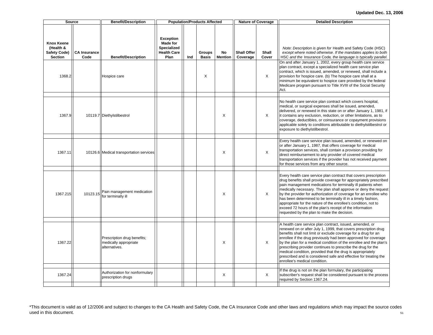#### **Updated Dec. 13, 2006**

| Source                                                                     |                             | <b>Benefit/Description</b>                           |                                                                                         |     | <b>Population/Products Affected</b> |                      |                                | <b>Nature of Coverage</b>  | <b>Detailed Description</b>                                                                                                                                                                                                                                                                                                                                                                                                                                                                                                                                                                 |
|----------------------------------------------------------------------------|-----------------------------|------------------------------------------------------|-----------------------------------------------------------------------------------------|-----|-------------------------------------|----------------------|--------------------------------|----------------------------|---------------------------------------------------------------------------------------------------------------------------------------------------------------------------------------------------------------------------------------------------------------------------------------------------------------------------------------------------------------------------------------------------------------------------------------------------------------------------------------------------------------------------------------------------------------------------------------------|
| <b>Knox Keene</b><br>(Health &<br>Safety Code)<br><b>Section</b><br>1368.2 | <b>CA Insurance</b><br>Code | <b>Benefit/Description</b><br>Hospice care           | <b>Exception</b><br><b>Made for</b><br><b>Specialized</b><br><b>Health Care</b><br>Plan | Ind | <b>Groups</b><br><b>Basis</b><br>X  | No<br><b>Mention</b> | <b>Shall Offer</b><br>Coverage | <b>Shall</b><br>Cover<br>X | Note: Description is given for Health and Safety Code (HSC)<br>except where noted otherwise. If the mandates applies to both<br>HSC and the Insurance Code, the language is typically parallel.<br>On and after January 1, 2002, every group health care service<br>plan contract, except a specialized health care service plan<br>contract, which is issued, amended, or renewed, shall include a<br>provision for hospice care. (b) The hospice care shall at a                                                                                                                          |
|                                                                            |                             |                                                      |                                                                                         |     |                                     |                      |                                |                            | minimum be equivalent to hospice care provided by the federal<br>Medicare program pursuant to Title XVIII of the Social Security<br>Act.                                                                                                                                                                                                                                                                                                                                                                                                                                                    |
| 1367.9                                                                     |                             | 10119.7 Diethylstilbestrol                           |                                                                                         |     |                                     | X                    |                                | $\times$                   | No health care service plan contract which covers hospital,<br>medical, or surgical expenses shall be issued, amended,<br>delivered, or renewed in this state on or after January 1, 1981, if<br>it contains any exclusion, reduction, or other limitations, as to<br>coverage, deductibles, or coinsurance or copayment provisions<br>applicable solely to conditions attributable to diethylstilbestrol or<br>exposure to diethylstilbestrol.                                                                                                                                             |
| 1367.11                                                                    |                             | 10126.6 Medical transportation services              |                                                                                         |     |                                     | X                    |                                | X                          | Every health care service plan issued, amended, or renewed on<br>or after January 1, 1987, that offers coverage for medical<br>transportation services, shall contain a provision providing for<br>direct reimbursement to any provider of covered medical<br>transportation services if the provider has not received payment<br>for those services from any other source.                                                                                                                                                                                                                 |
| 1367.215                                                                   | 10123.15                    | Pain management medication<br>for terminally ill     |                                                                                         |     |                                     | X                    |                                | X                          | Every health care service plan contract that covers prescription<br>drug benefits shall provide coverage for appropriately prescribed<br>pain management medications for terminally ill patients when<br>medically necessary. The plan shall approve or deny the request<br>by the provider for authorization of coverage for an enrollee who<br>has been determined to be terminally ill in a timely fashion,<br>appropriate for the nature of the enrollee's condition, not to<br>exceed 72 hours of the plan's receipt of the information<br>requested by the plan to make the decision. |
| 1367.22                                                                    |                             | Prescription drug benefits;<br>medically appropriate |                                                                                         |     |                                     | X                    |                                | X                          | A health care service plan contract, issued, amended, or<br>renewed on or after July 1, 1999, that covers prescription drug<br>benefits shall not limit or exclude coverage for a drug for an<br>enrollee if the drug previously had been approved for coverage<br>by the plan for a medical condition of the enrollee and the plan's                                                                                                                                                                                                                                                       |
|                                                                            |                             | alternatives.                                        |                                                                                         |     |                                     |                      |                                |                            | prescribing provider continues to prescribe the drug for the<br>medical condition, provided that the drug is appropriately<br>prescribed and is considered safe and effective for treating the<br>enrollee's medical condition.                                                                                                                                                                                                                                                                                                                                                             |
| 1367.24                                                                    |                             | Authorization for nonformulary<br>prescription drugs |                                                                                         |     |                                     | X                    |                                | X                          | If the drug is not on the plan formulary, the participating<br>subscriber's request shall be considered pursuant to the process<br>required by Section 1367.24.                                                                                                                                                                                                                                                                                                                                                                                                                             |
|                                                                            |                             |                                                      |                                                                                         |     |                                     |                      |                                |                            |                                                                                                                                                                                                                                                                                                                                                                                                                                                                                                                                                                                             |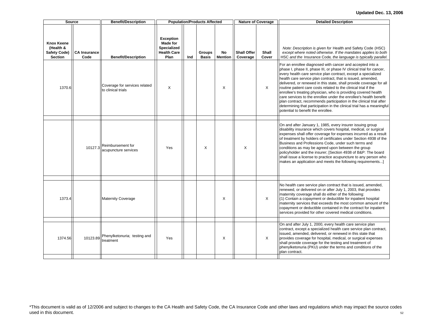|                                                                         | <b>Source</b>               | <b>Benefit/Description</b>                          |                                                                                  |     | <b>Population/Products Affected</b> |                      |                                | <b>Nature of Coverage</b> | <b>Detailed Description</b>                                                                                                                                                                                                                                                                                                                                                                                                                                                                                                                                                                                                                                                                                                              |
|-------------------------------------------------------------------------|-----------------------------|-----------------------------------------------------|----------------------------------------------------------------------------------|-----|-------------------------------------|----------------------|--------------------------------|---------------------------|------------------------------------------------------------------------------------------------------------------------------------------------------------------------------------------------------------------------------------------------------------------------------------------------------------------------------------------------------------------------------------------------------------------------------------------------------------------------------------------------------------------------------------------------------------------------------------------------------------------------------------------------------------------------------------------------------------------------------------------|
| <b>Knox Keene</b><br>(Health &<br><b>Safety Code)</b><br><b>Section</b> | <b>CA Insurance</b><br>Code | <b>Benefit/Description</b>                          | <b>Exception</b><br>Made for<br><b>Specialized</b><br><b>Health Care</b><br>Plan | Ind | <b>Groups</b><br><b>Basis</b>       | No<br><b>Mention</b> | <b>Shall Offer</b><br>Coverage | Shall<br>Cover            | Note: Description is given for Health and Safety Code (HSC)<br>except where noted otherwise. If the mandates applies to both<br>HSC and the Insurance Code, the language is typically parallel.                                                                                                                                                                                                                                                                                                                                                                                                                                                                                                                                          |
| 1370.6                                                                  |                             | Coverage for services related<br>to clinical trials | X                                                                                |     |                                     | X                    |                                | $\times$                  | For an enrollee diagnosed with cancer and accepted into a<br>phase I, phase II, phase III, or phase IV clinical trial for cancer,<br>every health care service plan contract, except a specialized<br>health care service plan contract, that is issued, amended,<br>delivered, or renewed in this state, shall provide coverage for all<br>routine patient care costs related to the clinical trial if the<br>enrollee's treating physician, who is providing covered health<br>care services to the enrollee under the enrollee's health benefit<br>plan contract, recommends participation in the clinical trial after<br>determining that participation in the clinical trial has a meaningful<br>potential to benefit the enrollee. |
|                                                                         | 10127.3                     | Reimbursement for<br>acupuncture services           | Yes                                                                              |     | X                                   |                      | X                              |                           | On and after January 1, 1985, every insurer issuing group<br>disability insurance which covers hospital, medical, or surgical<br>expenses shall offer coverage for expenses incurred as a result<br>of treatment by holders of certificates under Section 4938 of the<br>Business and Professions Code, under such terms and<br>conditions as may be agreed upon between the group<br>policyholder and the insurer; [Section 4938 of B&P: The board<br>shall issue a license to practice acupuncture to any person who<br>makes an application and meets the following requirements]                                                                                                                                                     |
| 1373.4                                                                  |                             | <b>Maternity Coverage</b>                           |                                                                                  |     |                                     | X                    |                                | $\times$                  | No health care service plan contract that is issued, amended,<br>renewed, or delivered on or after July 1, 2003, that provides<br>maternity coverage shall do either of the following:<br>(1) Contain a copayment or deductible for inpatient hospital<br>maternity services that exceeds the most common amount of the<br>copayment or deductible contained in the contract for inpatient<br>services provided for other covered medical conditions.                                                                                                                                                                                                                                                                                    |
| 1374.56                                                                 | 10123.89                    | Phenylketonuria; testing and<br>treatment           | Yes                                                                              |     |                                     | X                    |                                | $\times$                  | On and after July 1, 2000, every health care service plan<br>contract, except a specialized health care service plan contract,<br>issued, amended, delivered, or renewed in this state that<br>provides coverage for hospital, medical, or surgical expenses<br>shall provide coverage for the testing and treatment of<br>phenylketonuria (PKU) under the terms and conditions of the<br>plan contract.                                                                                                                                                                                                                                                                                                                                 |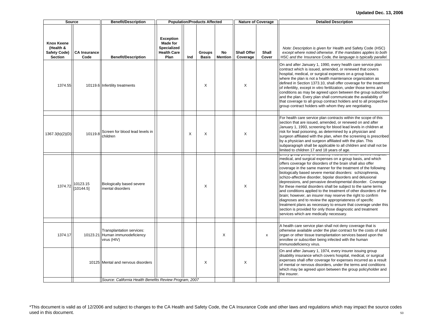|                                                                         | <b>Source</b>               | <b>Benefit/Description</b>                                         |                                                                                  |     | <b>Population/Products Affected</b> |                      |                                | Nature of Coverage | <b>Detailed Description</b>                                                                                                                                                                                                                                                                                                                                                                                                                                                                                                                                                                                                                                                                                                                                                                                                                                                                              |
|-------------------------------------------------------------------------|-----------------------------|--------------------------------------------------------------------|----------------------------------------------------------------------------------|-----|-------------------------------------|----------------------|--------------------------------|--------------------|----------------------------------------------------------------------------------------------------------------------------------------------------------------------------------------------------------------------------------------------------------------------------------------------------------------------------------------------------------------------------------------------------------------------------------------------------------------------------------------------------------------------------------------------------------------------------------------------------------------------------------------------------------------------------------------------------------------------------------------------------------------------------------------------------------------------------------------------------------------------------------------------------------|
| <b>Knox Keene</b><br>(Health &<br><b>Safety Code)</b><br><b>Section</b> | <b>CA Insurance</b><br>Code | <b>Benefit/Description</b>                                         | <b>Exception</b><br>Made for<br><b>Specialized</b><br><b>Health Care</b><br>Plan | Ind | Groups<br><b>Basis</b>              | No<br><b>Mention</b> | <b>Shall Offer</b><br>Coverage | Shall<br>Cover     | Note: Description is given for Health and Safety Code (HSC)<br>except where noted otherwise. If the mandates applies to both<br>HSC and the Insurance Code, the language is typically parallel.                                                                                                                                                                                                                                                                                                                                                                                                                                                                                                                                                                                                                                                                                                          |
| 1374.55                                                                 |                             | 10119.6 Infertility treatments                                     |                                                                                  |     | X                                   |                      | X                              |                    | On and after January 1, 1990, every health care service plan<br>contract which is issued, amended, or renewed that covers<br>hospital, medical, or surgical expenses on a group basis,<br>where the plan is not a health maintenance organization as<br>defined in Section 1373.10, shall offer coverage for the treatment<br>of infertility, except in vitro fertilization, under those terms and<br>conditions as may be agreed upon between the group subscriber<br>and the plan. Every plan shall communicate the availability of<br>that coverage to all group contract holders and to all prospective<br>group contract holders with whom they are negotiating.                                                                                                                                                                                                                                    |
| 1367.3(b)(2)(D)                                                         | 10119.8                     | Screen for blood lead levels in<br>children                        |                                                                                  | X   | X                                   |                      | X                              |                    | For health care service plan contracts within the scope of this<br>section that are issued, amended, or renewed on and after<br>January 1, 1993, screening for blood lead levels in children at<br>risk for lead poisoning, as determined by a physician and<br>surgeon affiliated with the plan, when the screening is prescribed<br>by a physician and surgeon affiliated with the plan. This<br>subparagraph shall be applicable to all children and shall not be<br>limited to children 17 and 18 years of age.                                                                                                                                                                                                                                                                                                                                                                                      |
| 1374.72                                                                 | 10123.15<br>[10144.5]       | Biologically based severe<br>mental disorders                      |                                                                                  |     | X                                   |                      | Χ                              |                    | <u>Liviy group policy or uloublity literatures willow covers</u><br>medical, and surgical expenses on a group basis, and which<br>offers coverage for disorders of the brain shall also offer<br>coverage in the same manner for the treatment of the following<br>biologically based severe mental disorders: schizophrenia,<br>schizo-affective disorder, bipolar disorders and delusional<br>depressions, and pervasive developmental disorder. Coverage<br>for these mental disorders shall be subject to the same terms<br>and conditions applied to the treatment of other disorders of the<br>brain; however, an insurer may reserve the right to confirm<br>diagnoses and to review the appropriateness of specific<br>treatment plans as necessary to ensure that coverage under this<br>section is provided for only those diagnostic and treatment<br>services which are medically necessary. |
|                                                                         |                             |                                                                    |                                                                                  |     |                                     |                      |                                |                    |                                                                                                                                                                                                                                                                                                                                                                                                                                                                                                                                                                                                                                                                                                                                                                                                                                                                                                          |
| 1374.17                                                                 | 10123.21                    | Transplantation services:<br>Human immunodeficiency<br>virus (HIV) |                                                                                  |     |                                     | $\times$             |                                | X                  | A health care service plan shall not deny coverage that is<br>otherwise available under the plan contract for the costs of solid<br>organ or other tissue transplantation services based upon the<br>enrollee or subscriber being infected with the human<br>immunodeficiency virus.                                                                                                                                                                                                                                                                                                                                                                                                                                                                                                                                                                                                                     |
|                                                                         |                             | 10125 Mental and nervous disorders                                 |                                                                                  |     | X                                   |                      | X                              |                    | On and after January 1, 1974, every insurer issuing group<br>disability insurance which covers hospital, medical, or surgical<br>expenses shall offer coverage for expenses incurred as a result<br>of mental or nervous disorders, under the terms and conditions<br>which may be agreed upon between the group policyholder and<br>the insurer.                                                                                                                                                                                                                                                                                                                                                                                                                                                                                                                                                        |
|                                                                         |                             | Source: California Health Benefits Review Program, 2007            |                                                                                  |     |                                     |                      |                                |                    |                                                                                                                                                                                                                                                                                                                                                                                                                                                                                                                                                                                                                                                                                                                                                                                                                                                                                                          |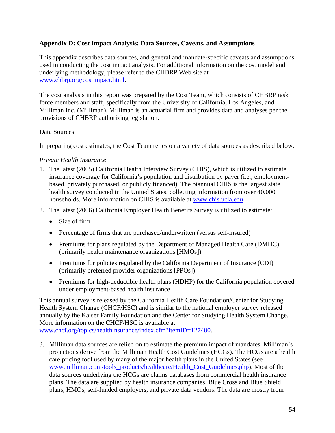## **Appendix D: Cost Impact Analysis: Data Sources, Caveats, and Assumptions**

This appendix describes data sources, and general and mandate-specific caveats and assumptions used in conducting the cost impact analysis. For additional information on the cost model and underlying methodology, please refer to the CHBRP Web site at www.chbrp.org/costimpact.html.

The cost analysis in this report was prepared by the Cost Team, which consists of CHBRP task force members and staff, specifically from the University of California, Los Angeles, and Milliman Inc. (Milliman). Milliman is an actuarial firm and provides data and analyses per the provisions of CHBRP authorizing legislation.

## Data Sources

In preparing cost estimates, the Cost Team relies on a variety of data sources as described below.

## *Private Health Insurance*

- 1. The latest (2005) California Health Interview Survey (CHIS), which is utilized to estimate insurance coverage for California's population and distribution by payer (i.e., employmentbased, privately purchased, or publicly financed). The biannual CHIS is the largest state health survey conducted in the United States, collecting information from over 40,000 households. More information on CHIS is available at www.chis.ucla.edu.
- 2. The latest (2006) California Employer Health Benefits Survey is utilized to estimate:
	- Size of firm
	- Percentage of firms that are purchased/underwritten (versus self-insured)
	- Premiums for plans regulated by the Department of Managed Health Care (DMHC) (primarily health maintenance organizations [HMOs])
	- Premiums for policies regulated by the California Department of Insurance (CDI) (primarily preferred provider organizations [PPOs])
	- Premiums for high-deductible health plans (HDHP) for the California population covered under employment-based health insurance

This annual survey is released by the California Health Care Foundation/Center for Studying Health System Change (CHCF/HSC) and is similar to the national employer survey released annually by the Kaiser Family Foundation and the Center for Studying Health System Change. More information on the CHCF/HSC is available at www.chcf.org/topics/healthinsurance/index.cfm?itemID=127480.

3. Milliman data sources are relied on to estimate the premium impact of mandates. Milliman's projections derive from the Milliman Health Cost Guidelines (HCGs). The HCGs are a health care pricing tool used by many of the major health plans in the United States (see www.milliman.com/tools\_products/healthcare/Health\_Cost\_Guidelines.php). Most of the data sources underlying the HCGs are claims databases from commercial health insurance plans. The data are supplied by health insurance companies, Blue Cross and Blue Shield plans, HMOs, self-funded employers, and private data vendors. The data are mostly from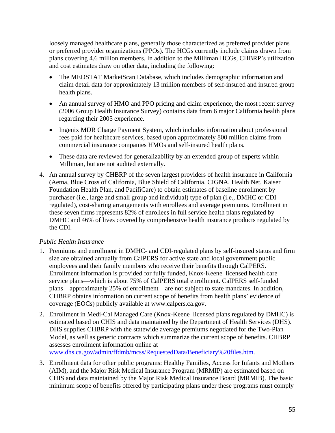loosely managed healthcare plans, generally those characterized as preferred provider plans or preferred provider organizations (PPOs). The HCGs currently include claims drawn from plans covering 4.6 million members. In addition to the Milliman HCGs, CHBRP's utilization and cost estimates draw on other data, including the following:

- The MEDSTAT MarketScan Database, which includes demographic information and claim detail data for approximately 13 million members of self-insured and insured group health plans.
- An annual survey of HMO and PPO pricing and claim experience, the most recent survey (2006 Group Health Insurance Survey) contains data from 6 major California health plans regarding their 2005 experience.
- Ingenix MDR Charge Payment System, which includes information about professional fees paid for healthcare services, based upon approximately 800 million claims from commercial insurance companies HMOs and self-insured health plans.
- These data are reviewed for generalizability by an extended group of experts within Milliman, but are not audited externally.
- 4. An annual survey by CHBRP of the seven largest providers of health insurance in California (Aetna, Blue Cross of California, Blue Shield of California, CIGNA, Health Net, Kaiser Foundation Health Plan, and PacifiCare) to obtain estimates of baseline enrollment by purchaser (i.e., large and small group and individual) type of plan (i.e., DMHC or CDI regulated), cost-sharing arrangements with enrollees and average premiums. Enrollment in these seven firms represents 82% of enrollees in full service health plans regulated by DMHC and 46% of lives covered by comprehensive health insurance products regulated by the CDI.

# *Public Health Insurance*

- 1. Premiums and enrollment in DMHC- and CDI-regulated plans by self-insured status and firm size are obtained annually from CalPERS for active state and local government public employees and their family members who receive their benefits through CalPERS. Enrollment information is provided for fully funded, Knox-Keene–licensed health care service plans—which is about 75% of CalPERS total enrollment. CalPERS self-funded plans—approximately 25% of enrollment—are not subject to state mandates. In addition, CHBRP obtains information on current scope of benefits from health plans' evidence of coverage (EOCs) publicly available at www.calpers.ca.gov.
- 2. Enrollment in Medi-Cal Managed Care (Knox-Keene–licensed plans regulated by DMHC) is estimated based on CHIS and data maintained by the Department of Health Services (DHS). DHS supplies CHBRP with the statewide average premiums negotiated for the Two-Plan Model, as well as generic contracts which summarize the current scope of benefits. CHBRP assesses enrollment information online at www.dhs.ca.gov/admin/ffdmb/mcss/RequestedData/Beneficiary%20files.htm.
- 3. Enrollment data for other public programs: Healthy Families, Access for Infants and Mothers (AIM), and the Major Risk Medical Insurance Program (MRMIP) are estimated based on CHIS and data maintained by the Major Risk Medical Insurance Board (MRMIB). The basic minimum scope of benefits offered by participating plans under these programs must comply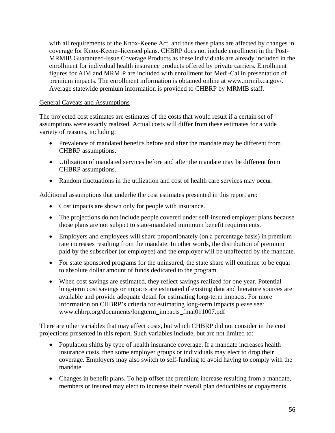with all requirements of the Knox-Keene Act, and thus these plans are affected by changes in coverage for Knox-Keene–licensed plans. CHBRP does not include enrollment in the Post-MRMIB Guaranteed-Issue Coverage Products as these individuals are already included in the enrollment for individual health insurance products offered by private carriers. Enrollment figures for AIM and MRMIP are included with enrollment for Medi-Cal in presentation of premium impacts. The enrollment information is obtained online at www.mrmib.ca.gov/. Average statewide premium information is provided to CHBRP by MRMIB staff.

## General Caveats and Assumptions

The projected cost estimates are estimates of the costs that would result if a certain set of assumptions were exactly realized. Actual costs will differ from these estimates for a wide variety of reasons, including:

- Prevalence of mandated benefits before and after the mandate may be different from CHBRP assumptions.
- Utilization of mandated services before and after the mandate may be different from CHBRP assumptions.
- Random fluctuations in the utilization and cost of health care services may occur.

Additional assumptions that underlie the cost estimates presented in this report are:

- Cost impacts are shown only for people with insurance.
- The projections do not include people covered under self-insured employer plans because those plans are not subject to state-mandated minimum benefit requirements.
- Employers and employees will share proportionately (on a percentage basis) in premium rate increases resulting from the mandate. In other words, the distribution of premium paid by the subscriber (or employee) and the employer will be unaffected by the mandate.
- For state sponsored programs for the uninsured, the state share will continue to be equal to absolute dollar amount of funds dedicated to the program.
- When cost savings are estimated, they reflect savings realized for one year. Potential long-term cost savings or impacts are estimated if existing data and literature sources are available and provide adequate detail for estimating long-term impacts. For more information on CHBRP's criteria for estimating long-term impacts please see: www.chbrp.org/documents/longterm\_impacts\_final011007.pdf

There are other variables that may affect costs, but which CHBRP did not consider in the cost projections presented in this report. Such variables include, but are not limited to:

- Population shifts by type of health insurance coverage. If a mandate increases health insurance costs, then some employer groups or individuals may elect to drop their coverage. Employers may also switch to self-funding to avoid having to comply with the mandate.
- Changes in benefit plans. To help offset the premium increase resulting from a mandate, members or insured may elect to increase their overall plan deductibles or copayments.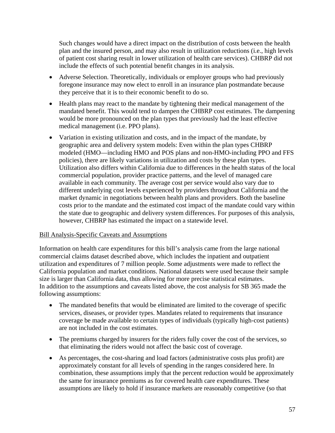Such changes would have a direct impact on the distribution of costs between the health plan and the insured person, and may also result in utilization reductions (i.e., high levels of patient cost sharing result in lower utilization of health care services). CHBRP did not include the effects of such potential benefit changes in its analysis.

- Adverse Selection. Theoretically, individuals or employer groups who had previously foregone insurance may now elect to enroll in an insurance plan postmandate because they perceive that it is to their economic benefit to do so.
- Health plans may react to the mandate by tightening their medical management of the mandated benefit. This would tend to dampen the CHBRP cost estimates. The dampening would be more pronounced on the plan types that previously had the least effective medical management (i.e. PPO plans).
- Variation in existing utilization and costs, and in the impact of the mandate, by geographic area and delivery system models: Even within the plan types CHBRP modeled (HMO—including HMO and POS plans and non-HMO-including PPO and FFS policies), there are likely variations in utilization and costs by these plan types. Utilization also differs within California due to differences in the health status of the local commercial population, provider practice patterns, and the level of managed care available in each community. The average cost per service would also vary due to different underlying cost levels experienced by providers throughout California and the market dynamic in negotiations between health plans and providers. Both the baseline costs prior to the mandate and the estimated cost impact of the mandate could vary within the state due to geographic and delivery system differences. For purposes of this analysis, however, CHBRP has estimated the impact on a statewide level.

## Bill Analysis-Specific Caveats and Assumptions

Information on health care expenditures for this bill's analysis came from the large national commercial claims dataset described above, which includes the inpatient and outpatient utilization and expenditures of 7 million people. Some adjustments were made to reflect the California population and market conditions. National datasets were used because their sample size is larger than California data, thus allowing for more precise statistical estimates. In addition to the assumptions and caveats listed above, the cost analysis for SB 365 made the following assumptions:

- The mandated benefits that would be eliminated are limited to the coverage of specific services, diseases, or provider types. Mandates related to requirements that insurance coverage be made available to certain types of individuals (typically high-cost patients) are not included in the cost estimates.
- The premiums charged by insurers for the riders fully cover the cost of the services, so that eliminating the riders would not affect the basic cost of coverage.
- As percentages, the cost-sharing and load factors (administrative costs plus profit) are approximately constant for all levels of spending in the ranges considered here. In combination, these assumptions imply that the percent reduction would be approximately the same for insurance premiums as for covered health care expenditures. These assumptions are likely to hold if insurance markets are reasonably competitive (so that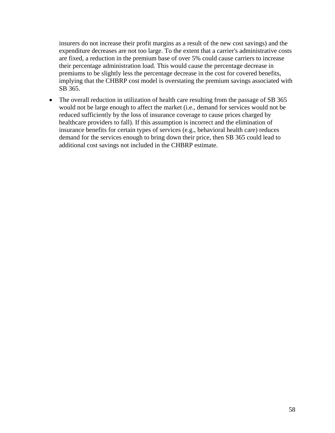insurers do not increase their profit margins as a result of the new cost savings) and the expenditure decreases are not too large. To the extent that a carrier's administrative costs are fixed, a reduction in the premium base of over 5% could cause carriers to increase their percentage administration load. This would cause the percentage decrease in premiums to be slightly less the percentage decrease in the cost for covered benefits, implying that the CHBRP cost model is overstating the premium savings associated with SB 365.

• The overall reduction in utilization of health care resulting from the passage of SB 365 would not be large enough to affect the market (i.e., demand for services would not be reduced sufficiently by the loss of insurance coverage to cause prices charged by healthcare providers to fall). If this assumption is incorrect and the elimination of insurance benefits for certain types of services (e.g., behavioral health care) reduces demand for the services enough to bring down their price, then SB 365 could lead to additional cost savings not included in the CHBRP estimate.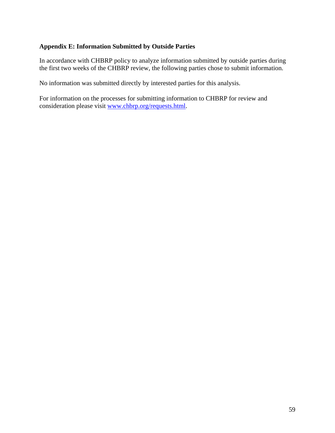# **Appendix E: Information Submitted by Outside Parties**

In accordance with CHBRP policy to analyze information submitted by outside parties during the first two weeks of the CHBRP review, the following parties chose to submit information.

No information was submitted directly by interested parties for this analysis.

For information on the processes for submitting information to CHBRP for review and consideration please visit www.chbrp.org/requests.html.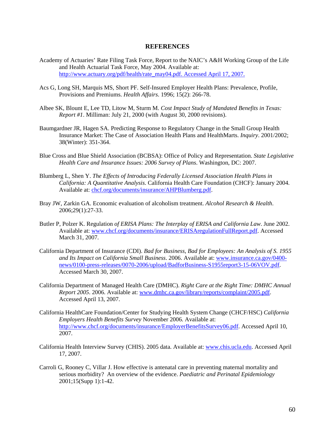#### **REFERENCES**

- Academy of Actuaries' Rate Filing Task Force, Report to the NAIC's A&H Working Group of the Life and Health Actuarial Task Force, May 2004. Available at: http://www.actuary.org/pdf/health/rate\_may04.pdf. Accessed April 17, 2007.
- Acs G, Long SH, Marquis MS, Short PF. Self-Insured Employer Health Plans: Prevalence, Profile, Provisions and Premiums. *Health Affairs*. 1996; 15(2): 266-78.
- Albee SK, Blount E, Lee TD, Litow M, Sturm M. *Cost Impact Study of Mandated Benefits in Texas: Report #1*. Milliman: July 21, 2000 (with August 30, 2000 revisions).
- Baumgardner JR, Hagen SA. Predicting Response to Regulatory Change in the Small Group Health Insurance Market: The Case of Association Health Plans and HealthMarts. *Inquiry*. 2001/2002; 38(Winter): 351-364.
- Blue Cross and Blue Shield Association (BCBSA): Office of Policy and Representation. *State Legislative Health Care and Insurance Issues: 2006 Survey of Plans*. Washington, DC: 2007.
- Blumberg L, Shen Y. *The Effects of Introducing Federally Licensed Association Health Plans in California: A Quantitative Analysis*. California Health Care Foundation (CHCF): January 2004. Available at: chcf.org/documents/insurance/AHPBlumberg.pdf.
- Bray JW, Zarkin GA. Economic evaluation of alcoholism treatment. *Alcohol Research & Health*. 2006;29(1):27-33.
- Butler P, Polzer K. Regulation *of ERISA Plans: The Interplay of ERISA and California Law*. June 2002. Available at: www.chcf.org/documents/insurance/ERISAregulationFullReport.pdf. Accessed March 31, 2007.
- California Department of Insurance (CDI). *Bad for Business, Bad for Employees: An Analysis of S. 1955 and Its Impact on California Small Business*. 2006. Available at: www.insurance.ca.gov/0400 news/0100-press-releases/0070-2006/upload/BadforBusiness-S1955report3-15-06VOV.pdf. Accessed March 30, 2007.
- California Department of Managed Health Care (DMHC). *Right Care at the Right Time: DMHC Annual Report 2005*. 2006. Available at: www.dmhc.ca.gov/library/reports/complaint/2005.pdf. Accessed April 13, 2007.
- California HealthCare Foundation/Center for Studying Health System Change (CHCF/HSC) *California Employers Health Benefits Survey* November 2006. Available at: http://www.chcf.org/documents/insurance/EmployerBenefitsSurvey06.pdf. Accessed April 10, 2007.
- California Health Interview Survey (CHIS). 2005 data. Available at: www.chis.ucla.edu. Accessed April 17, 2007.
- Carroli G, Rooney C, Villar J. How effective is antenatal care in preventing maternal mortality and serious morbidity? An overview of the evidence. *Paediatric and Perinatal Epidemiology* 2001;15(Supp 1):1-42.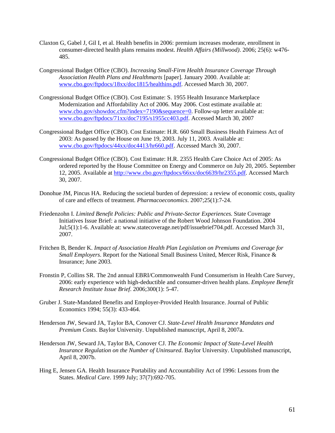- Claxton G, Gabel J, Gil I, et al. Health benefits in 2006: premium increases moderate, enrollment in consumer-directed health plans remains modest. *Health Affairs (Millwood)*. 2006; 25(6): w476- 485.
- Congressional Budget Office (CBO). *Increasing Small-Firm Health Insurance Coverage Through Association Health Plans and Healthmarts* [paper]. January 2000. Available at: www.cbo.gov/ftpdocs/18xx/doc1815/healthins.pdf. Accessed March 30, 2007.
- Congressional Budget Office (CBO). Cost Estimate: S. 1955 Health Insurance Marketplace Modernization and Affordability Act of 2006. May 2006. Cost estimate available at: www.cbo.gov/showdoc.cfm?index=7190&sequence=0. Follow-up letter available at: www.cbo.gov/ftpdocs/71xx/doc7195/s1955cc403.pdf. Accessed March 30, 2007
- Congressional Budget Office (CBO). Cost Estimate: H.R. 660 Small Business Health Fairness Act of 2003: As passed by the House on June 19, 2003*.* July 11, 2003. Available at: www.cbo.gov/ftpdocs/44xx/doc4413/hr660.pdf. Accessed March 30, 2007.
- Congressional Budget Office (CBO). Cost Estimate: H.R. 2355 Health Care Choice Act of 2005: As ordered reported by the House Committee on Energy and Commerce on July 20, 2005. September 12, 2005. Available at http://www.cbo.gov/ftpdocs/66xx/doc6639/hr2355.pdf. Accessed March 30, 2007.
- Donohue JM, Pincus HA. Reducing the societal burden of depression: a review of economic costs, quality of care and effects of treatment. *Pharmacoeconomics*. 2007;25(1):7-24.
- Friedenzohn I. *Limited Benefit Policies: Public and Private-Sector Experiences.* State Coverage Initiatives Issue Brief: a national initiative of the Robert Wood Johnson Foundation. 2004 Jul;5(1):1-6. Available at: www.statecoverage.net/pdf/issuebrief704.pdf. Accessed March 31, 2007.
- Fritchen B, Bender K. *Impact of Association Health Plan Legislation on Premiums and Coverage for Small Employers*. Report for the National Small Business United, Mercer Risk, Finance & Insurance; June 2003.
- Fronstin P, Collins SR. The 2nd annual EBRI/Commonwealth Fund Consumerism in Health Care Survey, 2006: early experience with high-deductible and consumer-driven health plans. *Employee Benefit Research Institute Issue Brief*. 2006;300(1): 5-47.
- Gruber J. State-Mandated Benefits and Employer-Provided Health Insurance. Journal of Public Economics 1994; 55(3): 433-464.
- Henderson JW, Seward JA, Taylor BA, Conover CJ. *State-Level Health Insurance Mandates and Premium Costs*. Baylor University. Unpublished manuscript, April 8, 2007a.
- Henderson JW, Seward JA, Taylor BA, Conover CJ. *The Economic Impact of State-Level Health Insurance Regulation on the Number of Uninsured*. Baylor University. Unpublished manuscript, April 8, 2007b.
- Hing E, Jensen GA. Health Insurance Portability and Accountability Act of 1996: Lessons from the States. *Medical Care*. 1999 July; 37(7):692-705.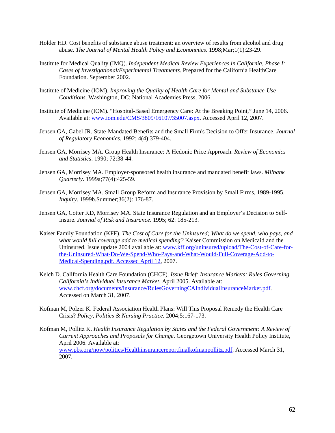- Holder HD. Cost benefits of substance abuse treatment: an overview of results from alcohol and drug abuse. *The Journal of Mental Health Policy and Econonmics*. 1998;Mar;1(1):23-29.
- Institute for Medical Quality (IMQ). *Independent Medical Review Experiences in California, Phase I: Cases of Investigational/Experimental Treatments*. Prepared for the California HealthCare Foundation. September 2002.
- Institute of Medicine (IOM). *Improving the Quality of Health Care for Mental and Substance-Use Conditions*. Washington, DC: National Academies Press, 2006.
- Institute of Medicine (IOM). "Hospital-Based Emergency Care: At the Breaking Point," June 14, 2006. Available at: www.iom.edu/CMS/3809/16107/35007.aspx. Accessed April 12, 2007.
- Jensen GA, Gabel JR. State-Mandated Benefits and the Small Firm's Decision to Offer Insurance. *Journal of Regulatory Economics*. 1992; 4(4):379-404.
- Jensen GA, Morrisey MA. Group Health Insurance: A Hedonic Price Approach. *Review of Economics and Statistics*. 1990; 72:38-44.
- Jensen GA, Morrisey MA. Employer-sponsored health insurance and mandated benefit laws. *Milbank Quarterly*. 1999a;77(4):425-59.
- Jensen GA, Morrisey MA. Small Group Reform and Insurance Provision by Small Firms, 1989-1995. *Inquiry*. 1999b.Summer;36(2): 176-87.
- Jensen GA, Cotter KD, Morrisey MA. State Insurance Regulation and an Employer's Decision to Self-Insure. *Journal of Risk and Insurance*. 1995; 62: 185-213.
- Kaiser Family Foundation (KFF). *The Cost of Care for the Uninsured; What do we spend, who pays, and what would full coverage add to medical spending?* Kaiser Commission on Medicaid and the Uninsured. Issue update 2004 available at: www.kff.org/uninsured/upload/The-Cost-of-Care-forthe-Uninsured-What-Do-We-Spend-Who-Pays-and-What-Would-Full-Coverage-Add-to-Medical-Spending.pdf. Accessed April 12, 2007.
- Kelch D. California Health Care Foundation (CHCF). *Issue Brief: Insurance Markets: Rules Governing California's Individual Insurance Market*. April 2005. Available at: www.chcf.org/documents/insurance/RulesGoverningCAIndividualInsuranceMarket.pdf. Accessed on March 31, 2007.
- Kofman M, Polzer K. Federal Association Health Plans: Will This Proposal Remedy the Health Care Crisis? *Policy, Politics & Nursing Practice.* 2004;5:167-173.
- Kofman M, Pollitz K. *Health Insurance Regulation by States and the Federal Government: A Review of Current Approaches and Proposals for Change*. Georgetown University Health Policy Institute, April 2006. Available at: www.pbs.org/now/politics/Healthinsurancereportfinalkofmanpollitz.pdf. Accessed March 31, 2007.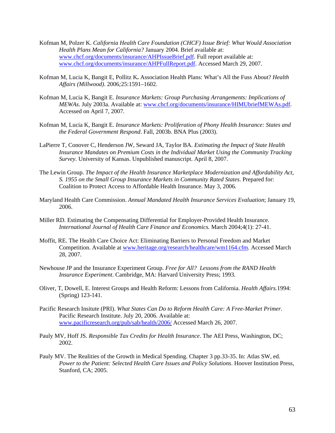- Kofman M, Polzer K. *California Health Care Foundation (CHCF) Issue Brief: What Would Association Health Plans Mean for California?* January 2004. Brief available at: www.chcf.org/documents/insurance/AHPIssueBrief.pdf. Full report available at: www.chcf.org/documents/insurance/AHPFullReport.pdf. Accessed March 29, 2007.
- Kofman M, Lucia K, Bangit E, Pollitz K**.** Association Health Plans: What's All the Fuss About? *Health Affairs (Millwood).* 2006*;*25:1591–1602.
- Kofman M, Lucia K, Bangit E. *Insurance Markets: Group Purchasing Arrangements: Implications of MEWAs*. July 2003a. Available at: www.chcf.org/documents/insurance/HIMUbriefMEWAs.pdf. Accessed on April 7, 2007.
- Kofman M, Lucia K, Bangit E. *Insurance Markets: Proliferation of Phony Health Insurance: States and the Federal Government Respond*. Fall, 2003b. BNA Plus (2003).
- LaPierre T, Conover C, Henderson JW, Seward JA, Taylor BA. *Estimating the Impact of State Health Insurance Mandates on Premium Costs in the Individual Market Using the Community Tracking Survey*. University of Kansas. Unpublished manuscript. April 8, 2007.
- The Lewin Group. *The Impact of the Health Insurance Marketplace Modernization and Affordability Act, S. 1955 on the Small Group Insurance Markets in Community Rated States*. Prepared for: Coalition to Protect Access to Affordable Health Insurance. May 3, 2006*.*
- Maryland Health Care Commission. *Annual Mandated Health Insurance Services Evaluation*; January 19, 2006.
- Miller RD. Estimating the Compensating Differential for Employer-Provided Health Insurance. *International Journal of Health Care Finance and Economics.* March 2004;4(1): 27-41.
- Moffit, RE. The Health Care Choice Act: Eliminating Barriers to Personal Freedom and Market Competition. Available at www.heritage.org/research/healthcare/wm1164.cfm. Accessed March 28, 2007.
- Newhouse JP and the Insurance Experiment Group. *Free for All? Lessons from the RAND Health Insurance Experiment*. Cambridge, MA: Harvard University Press; 1993.
- Oliver, T, Dowell, E. Interest Groups and Health Reform: Lessons from California. *Health Affairs.*1994: (Spring) 123-141.
- Pacific Research Insitute (PRI). *What States Can Do to Reform Health Care: A Free-Market Primer.*  Pacific Research Institute. July 20, 2006. Available at: www.pacificresearch.org/pub/sab/health/2006/ Accessed March 26, 2007.
- Pauly MV, Hoff JS. *Responsible Tax Credits for Health Insurance*. The AEI Press, Washington, DC; 2002.
- Pauly MV. The Realities of the Growth in Medical Spending. Chapter 3 pp.33-35. In: Atlas SW, ed. *Power to the Patient: Selected Health Care Issues and Policy Solutions*. Hoover Institution Press, Stanford, CA; 2005.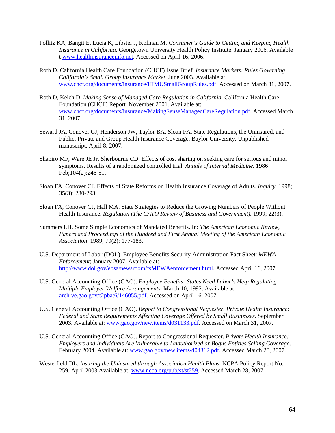- Pollitz KA, Bangit E, Lucia K, Libster J, Kofman M. *Consumer's Guide to Getting and Keeping Health Insurance in California*. Georgetown University Health Policy Institute. January 2006. Available t www.healthinsuranceinfo.net. Accessed on April 16, 2006.
- Roth D. California Health Care Foundation (CHCF) Issue Brief. *Insurance Markets: Rules Governing California's Small Group Insurance Market*. June 2003. Available at: www.chcf.org/documents/insurance/HIMUSmallGroupRules.pdf. Accessed on March 31, 2007.
- Roth D, Kelch D. *Making Sense of Managed Care Regulation in California*. California Health Care Foundation (CHCF) Report. November 2001. Available at: www.chcf.org/documents/insurance/MakingSenseManagedCareRegulation.pdf. Accessed March 31, 2007.
- Seward JA, Conover CJ, Henderson JW, Taylor BA, Sloan FA. State Regulations, the Uninsured, and Public, Private and Group Health Insurance Coverage. Baylor University. Unpublished manuscript, April 8, 2007.
- Shapiro MF, Ware JE Jr, Sherbourne CD. Effects of cost sharing on seeking care for serious and minor symptoms. Results of a randomized controlled trial. *Annals of Internal Medicine*. 1986 Feb;104(2):246-51.
- Sloan FA, Conover CJ. Effects of State Reforms on Health Insurance Coverage of Adults. *Inquiry*. 1998; 35(3): 280-293.
- Sloan FA, Conover CJ, Hall MA. State Strategies to Reduce the Growing Numbers of People Without Health Insurance. *Regulation (The CATO Review of Business and Government).* 1999; 22(3).
- Summers LH. Some Simple Economics of Mandated Benefits. In: *The American Economic Review, Papers and Proceedings of the Hundred and First Annual Meeting of the American Economic Association*. 1989; 79(2): 177-183.
- U.S. Department of Labor (DOL). Employee Benefits Security Administration Fact Sheet: *MEWA Enforcement*; January 2007. Available at: http://www.dol.gov/ebsa/newsroom/fsMEWAenforcement.html. Accessed April 16, 2007.
- U.S. General Accounting Office (GAO). *Employee Benefits: States Need Labor's Help Regulating Multiple Employer Welfare Arrangements*. March 10, 1992. Available at archive.gao.gov/t2pbat6/146055.pdf. Accessed on April 16, 2007.
- U.S. General Accounting Office (GAO). *Report to Congressional Requester. Private Health Insurance: Federal and State Requirements Affecting Coverage Offered by Small Businesses*. September 2003. Available at: www.gao.gov/new.items/d031133.pdf. Accessed on March 31, 2007.
- U.S. General Accounting Office (GAO). Report to Congressional Requester. *Private Health Insurance: Employers and Individuals Are Vulnerable to Unauthorized or Bogus Entities Selling Coverage*. February 2004. Available at: www.gao.gov/new.items/d04312.pdf. Accessed March 28, 2007.
- Westerfield DL. *Insuring the Uninsured through Association Health Plans*. NCPA Policy Report No. 259. April 2003 Available at: www.ncpa.org/pub/st/st259. Accessed March 28, 2007.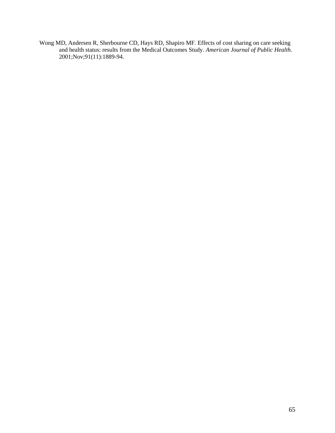Wong MD, Andersen R, Sherbourne CD, Hays RD, Shapiro MF. Effects of cost sharing on care seeking and health status: results from the Medical Outcomes Study. *American Journal of Public Health*. 2001;Nov;91(11):1889-94.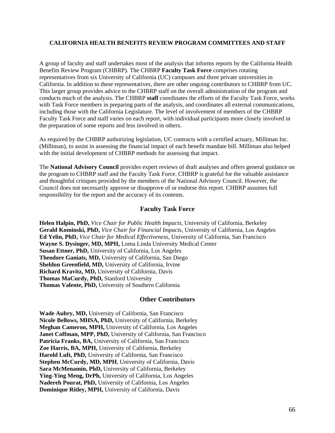#### **CALIFORNIA HEALTH BENEFITS REVIEW PROGRAM COMMITTEES AND STAFF**

A group of faculty and staff undertakes most of the analysis that informs reports by the California Health Benefits Review Program (CHBRP). The CHBRP **Faculty Task Force** comprises rotating representatives from six University of California (UC) campuses and three private universities in California. In addition to these representatives, there are other ongoing contributors to CHBRP from UC. This larger group provides advice to the CHBRP staff on the overall administration of the program and conducts much of the analysis. The CHBRP **staff** coordinates the efforts of the Faculty Task Force, works with Task Force members in preparing parts of the analysis, and coordinates all external communications, including those with the California Legislature. The level of involvement of members of the CHBRP Faculty Task Force and staff varies on each report, with individual participants more closely involved in the preparation of some reports and less involved in others.

As required by the CHBRP authorizing legislation, UC contracts with a certified actuary, Milliman Inc. (Milliman), to assist in assessing the financial impact of each benefit mandate bill. Milliman also helped with the initial development of CHBRP methods for assessing that impact.

The **National Advisory Council** provides expert reviews of draft analyses and offers general guidance on the program to CHBRP staff and the Faculty Task Force. CHBRP is grateful for the valuable assistance and thoughtful critiques provided by the members of the National Advisory Council. However, the Council does not necessarily approve or disapprove of or endorse this report. CHBRP assumes full responsibility for the report and the accuracy of its contents.

#### **Faculty Task Force**

**Helen Halpin, PhD,** *Vice Chair for Public Health Impacts*, University of California, Berkeley **Gerald Kominski, PhD,** *Vice Chair for Financial Impacts*, University of California, Los Angeles **Ed Yelin, PhD,** *Vice Chair for Medical Effectiveness,* University of California, San Francisco **Wayne S. Dysinger, MD, MPH,** Loma Linda University Medical Center **Susan Ettner, PhD,** University of California, Los Angeles **Theodore Ganiats, MD,** University of California, San Diego **Sheldon Greenfield, MD,** University of California, Irvine **Richard Kravitz, MD,** University of California, Davis **Thomas MaCurdy, PhD,** Stanford University **Thomas Valente, PhD,** University of Southern California

#### **Other Contributors**

**Wade Aubry, MD,** University of California, San Francisco **Nicole Bellows, MHSA, PhD,** University of California, Berkeley **Meghan Cameron, MPH,** University of California, Los Angeles **Janet Coffman, MPP, PhD,** University of California, San Francisco Patricia Franks, BA, University of California, San Francisco **Zoe Harris, BA, MPH,** University of California, Berkeley **Harold Luft, PhD,** University of California, San Francisco **Stephen McCurdy, MD, MPH**, University of California, Davis **Sara McMenamin, PhD,** University of California, Berkeley **Ying-Ying Meng, DrPh,** University of California, Los Angeles **Nadereh Pourat, PhD,** University of California, Los Angeles **Dominique Ritley, MPH,** University of California, Davis